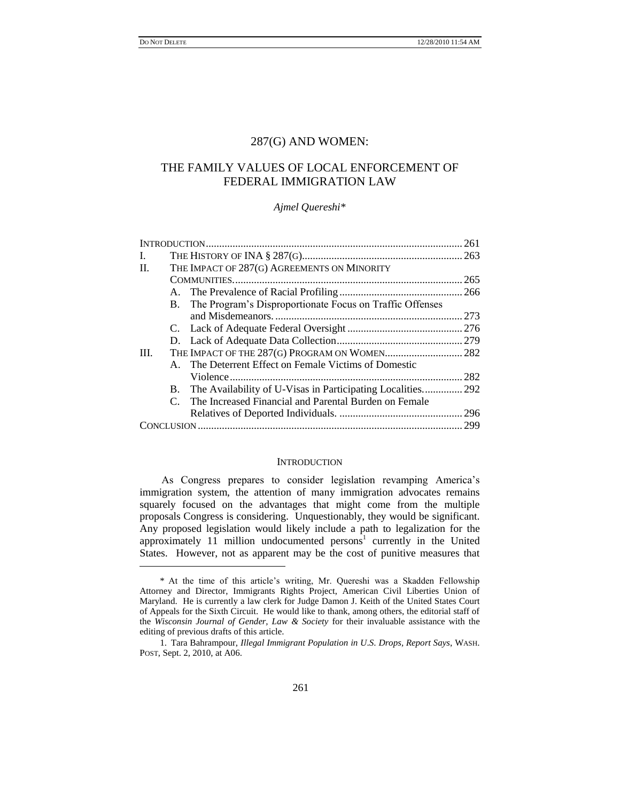$\overline{a}$ 

## 287(G) AND WOMEN:

# THE FAMILY VALUES OF LOCAL ENFORCEMENT OF FEDERAL IMMIGRATION LAW

### *Ajmel Quereshi\**

| L.      |  |                                                                |      |
|---------|--|----------------------------------------------------------------|------|
| $\Pi$ . |  | THE IMPACT OF 287(G) AGREEMENTS ON MINORITY                    |      |
|         |  |                                                                | .265 |
|         |  |                                                                |      |
|         |  | B. The Program's Disproportionate Focus on Traffic Offenses    |      |
|         |  |                                                                | 273  |
|         |  |                                                                |      |
|         |  |                                                                |      |
| III.    |  |                                                                |      |
|         |  | A. The Deterrent Effect on Female Victims of Domestic          |      |
|         |  |                                                                | 282  |
|         |  | B. The Availability of U-Visas in Participating Localities 292 |      |
|         |  | C. The Increased Financial and Parental Burden on Female       |      |
|         |  |                                                                |      |
|         |  |                                                                |      |

## **INTRODUCTION**

As Congress prepares to consider legislation revamping America's immigration system, the attention of many immigration advocates remains squarely focused on the advantages that might come from the multiple proposals Congress is considering. Unquestionably, they would be significant. Any proposed legislation would likely include a path to legalization for the approximately 11 million undocumented persons<sup>1</sup> currently in the United States. However, not as apparent may be the cost of punitive measures that

<sup>\*</sup> At the time of this article's writing, Mr. Quereshi was a Skadden Fellowship Attorney and Director, Immigrants Rights Project, American Civil Liberties Union of Maryland. He is currently a law clerk for Judge Damon J. Keith of the United States Court of Appeals for the Sixth Circuit. He would like to thank, among others, the editorial staff of the *Wisconsin Journal of Gender, Law & Society* for their invaluable assistance with the editing of previous drafts of this article.

<sup>1.</sup> Tara Bahrampour, *Illegal Immigrant Population in U*.*S*. *Drops, Report Says*, WASH. POST, Sept. 2, 2010, at A06.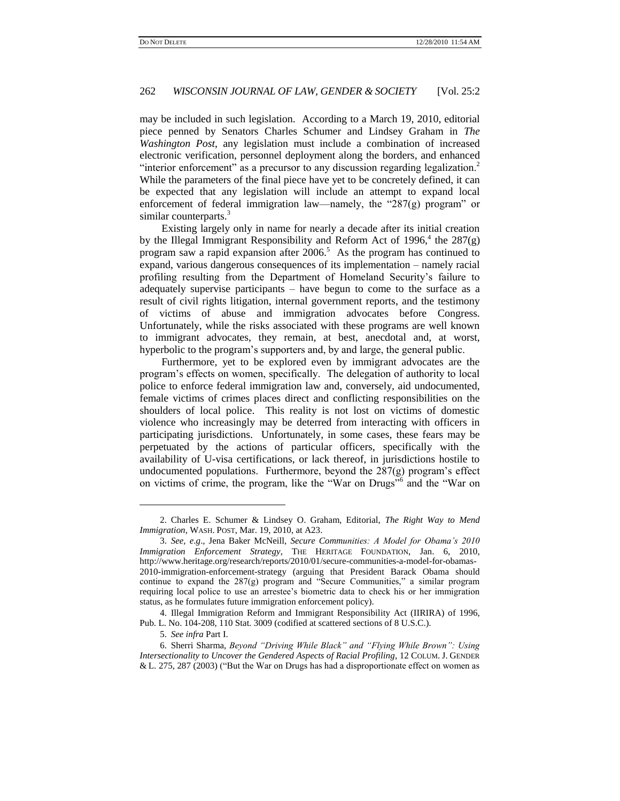may be included in such legislation. According to a March 19, 2010, editorial piece penned by Senators Charles Schumer and Lindsey Graham in *The Washington Post*, any legislation must include a combination of increased electronic verification, personnel deployment along the borders, and enhanced "interior enforcement" as a precursor to any discussion regarding legalization. $2$ While the parameters of the final piece have yet to be concretely defined, it can be expected that any legislation will include an attempt to expand local enforcement of federal immigration law—namely, the "287(g) program" or similar counterparts.<sup>3</sup>

Existing largely only in name for nearly a decade after its initial creation by the Illegal Immigrant Responsibility and Reform Act of  $1996$ ,<sup>4</sup> the  $287(g)$ program saw a rapid expansion after  $2006$ <sup>5</sup> As the program has continued to expand, various dangerous consequences of its implementation – namely racial profiling resulting from the Department of Homeland Security's failure to adequately supervise participants – have begun to come to the surface as a result of civil rights litigation, internal government reports, and the testimony of victims of abuse and immigration advocates before Congress. Unfortunately, while the risks associated with these programs are well known to immigrant advocates, they remain, at best, anecdotal and, at worst, hyperbolic to the program's supporters and, by and large, the general public.

Furthermore, yet to be explored even by immigrant advocates are the program's effects on women, specifically. The delegation of authority to local police to enforce federal immigration law and, conversely, aid undocumented, female victims of crimes places direct and conflicting responsibilities on the shoulders of local police. This reality is not lost on victims of domestic violence who increasingly may be deterred from interacting with officers in participating jurisdictions. Unfortunately, in some cases, these fears may be perpetuated by the actions of particular officers, specifically with the availability of U-visa certifications, or lack thereof, in jurisdictions hostile to undocumented populations. Furthermore, beyond the 287(g) program's effect on victims of crime, the program, like the "War on Drugs"<sup>6</sup> and the "War on

<sup>2.</sup> Charles E. Schumer & Lindsey O. Graham, Editorial, *The Right Way to Mend Immigration*, WASH. POST, Mar. 19, 2010, at A23.

<sup>3.</sup> *See, e*.*g*.*,* Jena Baker McNeill, *Secure Communities: A Model for Obama"s 2010 Immigration Enforcement Strategy*, THE HERITAGE FOUNDATION, Jan. 6, 2010, [http://www.heritage.org/research/reports/2010/01/secure-communities-a-model-for-obamas-](http://www.heritage.org/research/reports/2010/01/secure-communities-a-model-for-obamas-2010-immigration-enforcement-strategy)[2010-immigration-enforcement-strategy](http://www.heritage.org/research/reports/2010/01/secure-communities-a-model-for-obamas-2010-immigration-enforcement-strategy) (arguing that President Barack Obama should continue to expand the  $287(g)$  program and "Secure Communities," a similar program requiring local police to use an arrestee's biometric data to check his or her immigration status, as he formulates future immigration enforcement policy).

<sup>4.</sup> Illegal Immigration Reform and Immigrant Responsibility Act (IIRIRA) of 1996, Pub. L. No. 104-208, 110 Stat. 3009 (codified at scattered sections of 8 U.S.C.).

<sup>5.</sup> *See infra* Part I.

<sup>6.</sup> Sherri Sharma, *Beyond "Driving While Black" and "Flying While Brown": Using Intersectionality to Uncover the Gendered Aspects of Racial Profiling*, 12 COLUM. J. GENDER & L. 275, 287 (2003) ("But the War on Drugs has had a disproportionate effect on women as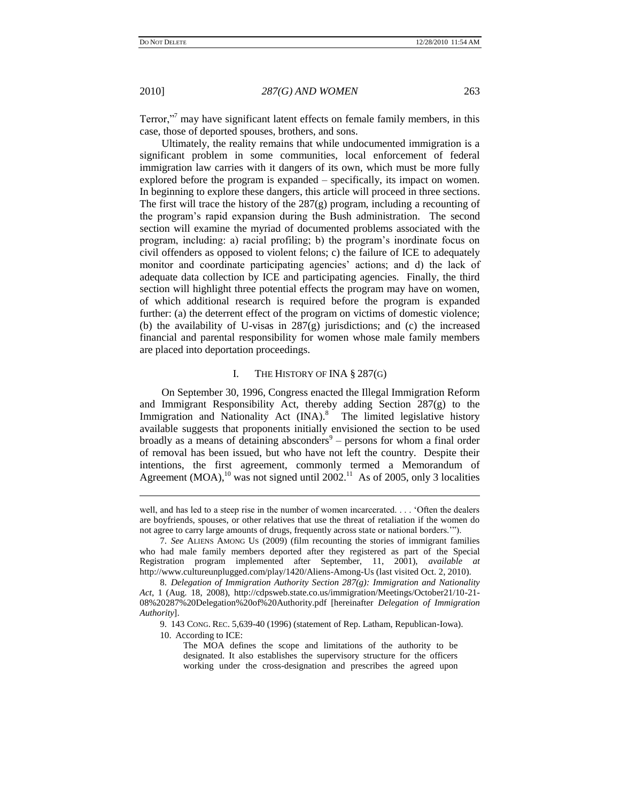Terror,"<sup>7</sup> may have significant latent effects on female family members, in this case, those of deported spouses, brothers, and sons.

Ultimately, the reality remains that while undocumented immigration is a significant problem in some communities, local enforcement of federal immigration law carries with it dangers of its own, which must be more fully explored before the program is expanded – specifically, its impact on women. In beginning to explore these dangers, this article will proceed in three sections. The first will trace the history of the 287(g) program, including a recounting of the program's rapid expansion during the Bush administration. The second section will examine the myriad of documented problems associated with the program, including: a) racial profiling; b) the program's inordinate focus on civil offenders as opposed to violent felons; c) the failure of ICE to adequately monitor and coordinate participating agencies' actions; and d) the lack of adequate data collection by ICE and participating agencies. Finally, the third section will highlight three potential effects the program may have on women, of which additional research is required before the program is expanded further: (a) the deterrent effect of the program on victims of domestic violence; (b) the availability of U-visas in 287(g) jurisdictions; and (c) the increased financial and parental responsibility for women whose male family members are placed into deportation proceedings.

### <span id="page-2-0"></span>I. THE HISTORY OF INA § 287(G)

On September 30, 1996, Congress enacted the Illegal Immigration Reform and Immigrant Responsibility Act, thereby adding Section 287(g) to the Immigration and Nationality Act (INA).<sup>8</sup> The limited legislative history available suggests that proponents initially envisioned the section to be used broadly as a means of detaining absconders $9$  – persons for whom a final order of removal has been issued, but who have not left the country. Despite their intentions, the first agreement, commonly termed a Memorandum of Agreement (MOA),<sup>10</sup> was not signed until 2002.<sup>11</sup> As of 2005, only 3 localities

well, and has led to a steep rise in the number of women incarcerated. . . . 'Often the dealers' are boyfriends, spouses, or other relatives that use the threat of retaliation if the women do not agree to carry large amounts of drugs, frequently across state or national borders.'").

<sup>7.</sup> *See* ALIENS AMONG US (2009) (film recounting the stories of immigrant families who had male family members deported after they registered as part of the Special Registration program implemented after September, 11, 2001), *available at*  http://www.cultureunplugged.com/play/1420/Aliens-Among-Us (last visited Oct. 2, 2010).

<sup>8.</sup> *Delegation of Immigration Authority Section 287(g): Immigration and Nationality Act*, 1 (Aug. 18, 2008), http://cdpsweb.state.co.us/immigration/Meetings/October21/10-21- 08%20287%20Delegation%20of%20Authority.pdf [hereinafter *Delegation of Immigration Authority*].

<sup>9.</sup> 143 CONG. REC. 5,639-40 (1996) (statement of Rep. Latham, Republican-Iowa).

<sup>10.</sup> According to ICE:

The MOA defines the scope and limitations of the authority to be designated. It also establishes the supervisory structure for the officers working under the cross-designation and prescribes the agreed upon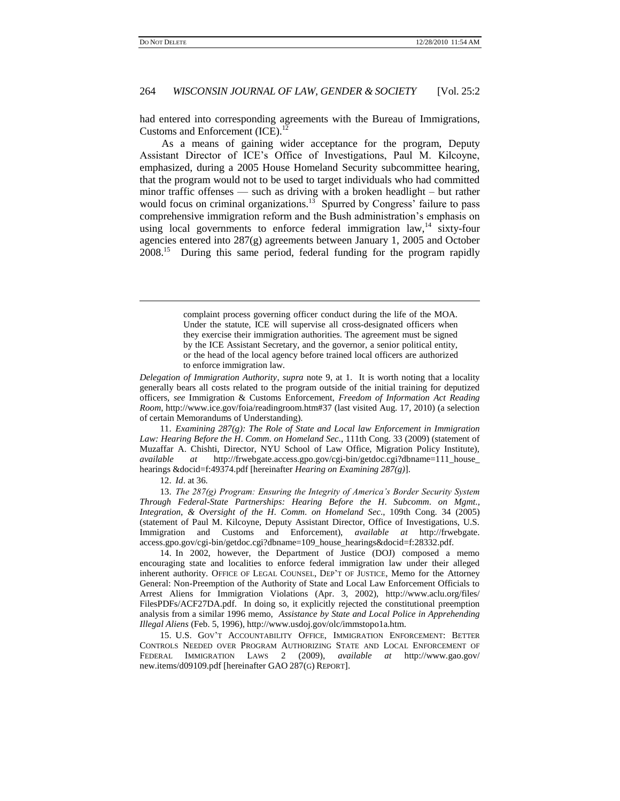$\overline{a}$ 

### 264 *WISCONSIN JOURNAL OF LAW, GENDER & SOCIETY* [Vol. 25:2

had entered into corresponding agreements with the Bureau of Immigrations, Customs and Enforcement (ICE).<sup>12</sup>

As a means of gaining wider acceptance for the program, Deputy Assistant Director of ICE's Office of Investigations, Paul M. Kilcoyne, emphasized, during a 2005 House Homeland Security subcommittee hearing, that the program would not to be used to target individuals who had committed minor traffic offenses — such as driving with a broken headlight – but rather would focus on criminal organizations.<sup>13</sup> Spurred by Congress' failure to pass comprehensive immigration reform and the Bush administration's emphasis on using local governments to enforce federal immigration law, $14$  sixty-four agencies entered into 287(g) agreements between January 1, 2005 and October 2008.<sup>15</sup> During this same period, federal funding for the program rapidly

*Delegation of Immigration Authority*, *supra* note 9, at 1. It is worth noting that a locality generally bears all costs related to the program outside of the initial training for deputized officers, *see* Immigration & Customs Enforcement, *Freedom of Information Act Reading Room*, http://www.ice.gov/foia/readingroom.htm#37 (last visited Aug. 17, 2010) (a selection of certain Memorandums of Understanding).

11. *Examining 287(g): The Role of State and Local law Enforcement in Immigration Law: Hearing Before the H*. *Comm*. *on Homeland Sec*., 111th Cong. 33 (2009) (statement of Muzaffar A. Chishti, Director, NYU School of Law Office, Migration Policy Institute), *available at* http://frwebgate.access.gpo.gov/cgi-bin/getdoc.cgi?dbname=111\_house\_ hearings &docid=f:49374.pdf [hereinafter *Hearing on Examining 287(g)*].

12. *Id*. at 36.

13. *The 287(g) Program: Ensuring the Integrity of America"s Border Security System Through Federal-State Partnerships: Hearing Before the H*. *Subcomm*. *on Mgmt*.*, Integration, & Oversight of the H*. *Comm*. *on Homeland Sec*., 109th Cong. 34 (2005) (statement of Paul M. Kilcoyne, Deputy Assistant Director, Office of Investigations, U.S. Immigration and Customs and Enforcement), *available at* http://frwebgate. access.gpo.gov/cgi-bin/getdoc.cgi?dbname=109\_house\_hearings&docid=f:28332.pdf.

14. In 2002, however, the Department of Justice (DOJ) composed a memo encouraging state and localities to enforce federal immigration law under their alleged inherent authority. OFFICE OF LEGAL COUNSEL, DEP'T OF JUSTICE, Memo for the Attorney General: Non-Preemption of the Authority of State and Local Law Enforcement Officials to Arrest Aliens for Immigration Violations (Apr. 3, 2002), http://www.aclu.org/files/ FilesPDFs/ACF27DA.pdf. In doing so, it explicitly rejected the constitutional preemption analysis from a similar 1996 memo, *Assistance by State and Local Police in Apprehending Illegal Aliens* (Feb. 5, 1996), http://www.usdoj.gov/olc/immstopo1a.htm.

15. U.S. GOV'T ACCOUNTABILITY OFFICE, IMMIGRATION ENFORCEMENT: BETTER CONTROLS NEEDED OVER PROGRAM AUTHORIZING STATE AND LOCAL ENFORCEMENT OF FEDERAL IMMIGRATION LAWS 2 (2009), *available at* http://www.gao.gov/ new.items/d09109.pdf [hereinafter GAO 287(G) REPORT].

complaint process governing officer conduct during the life of the MOA. Under the statute, ICE will supervise all cross-designated officers when they exercise their immigration authorities. The agreement must be signed by the ICE Assistant Secretary, and the governor, a senior political entity, or the head of the local agency before trained local officers are authorized to enforce immigration law.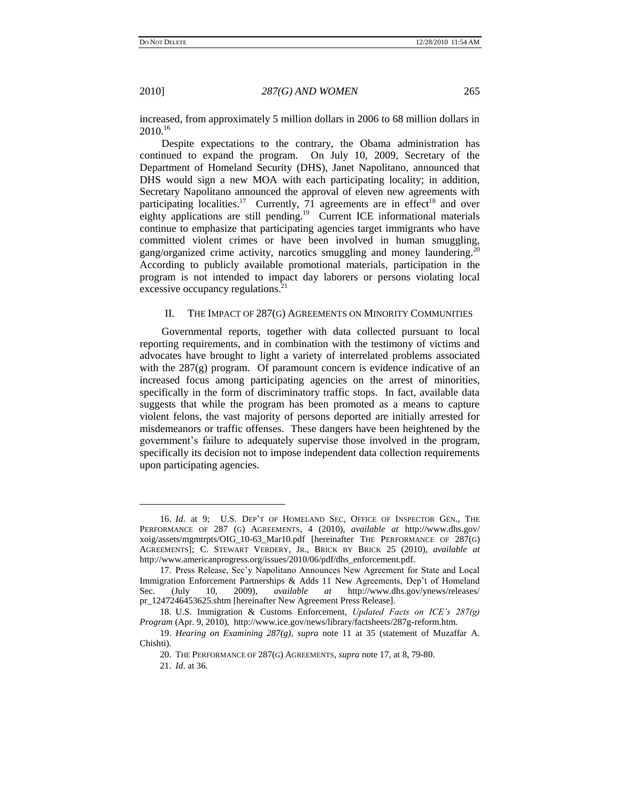<span id="page-4-0"></span>

increased, from approximately 5 million dollars in 2006 to 68 million dollars in  $2010.<sup>16</sup>$ 

Despite expectations to the contrary, the Obama administration has continued to expand the program. On July 10, 2009, Secretary of the Department of Homeland Security (DHS), Janet Napolitano, announced that DHS would sign a new MOA with each participating locality; in addition, Secretary Napolitano announced the approval of eleven new agreements with participating localities.<sup>17</sup> Currently, 71 agreements are in effect<sup>18</sup> and over eighty applications are still pending.<sup>19</sup> Current ICE informational materials continue to emphasize that participating agencies target immigrants who have committed violent crimes or have been involved in human smuggling, gang/organized crime activity, narcotics smuggling and money laundering.<sup>2</sup> According to publicly available promotional materials, participation in the program is not intended to impact day laborers or persons violating local excessive occupancy regulations.<sup>21</sup>

## II. THE IMPACT OF 287(G) AGREEMENTS ON MINORITY COMMUNITIES

Governmental reports, together with data collected pursuant to local reporting requirements, and in combination with the testimony of victims and advocates have brought to light a variety of interrelated problems associated with the  $287(g)$  program. Of paramount concern is evidence indicative of an increased focus among participating agencies on the arrest of minorities, specifically in the form of discriminatory traffic stops. In fact, available data suggests that while the program has been promoted as a means to capture violent felons, the vast majority of persons deported are initially arrested for misdemeanors or traffic offenses. These dangers have been heightened by the government's failure to adequately supervise those involved in the program, specifically its decision not to impose independent data collection requirements upon participating agencies.

<sup>16.</sup> *Id*. at 9; U.S. DEP'T OF HOMELAND SEC, OFFICE OF INSPECTOR GEN., THE PERFORMANCE OF 287 (G) AGREEMENTS, 4 (2010), *available at* [http://www.dhs.gov/](http://www.dhs.gov/xoig/assets/mgmtrpts/OIG_10-63_Mar10.pdf) [xoig/assets/mgmtrpts/OIG\\_10-63\\_Mar10.pdf](http://www.dhs.gov/xoig/assets/mgmtrpts/OIG_10-63_Mar10.pdf) [hereinafter THE PERFORMANCE OF 287(G) AGREEMENTS]; C. STEWART VERDERY, JR., BRICK BY BRICK 25 (2010), *available at*  http://www.americanprogress.org/issues/2010/06/pdf/dhs\_enforcement.pdf.

<sup>17.</sup> Press Release, Sec'y Napolitano Announces New Agreement for State and Local Immigration Enforcement Partnerships & Adds 11 New Agreements, Dep't of Homeland Sec. (July 10, 2009), *available at* http://www.dhs.gov/ynews/releases/ pr\_1247246453625.shtm [hereinafter New Agreement Press Release].

<sup>18.</sup> U.S. Immigration & Customs Enforcement, *Updated Facts on ICE"s 287(g) Program* (Apr. 9, 2010), http://www.ice.gov/news/library/factsheets/287g-reform.htm.

<sup>19.</sup> *Hearing on Examining 287(g)*, *supra* note [11](#page-2-0) at 35 (statement of Muzaffar A. Chishti).

<sup>20.</sup> THE PERFORMANCE OF 287(G) AGREEMENTS, *supra* note 17, at 8, 79-80.

<sup>21.</sup> *Id*. at 36.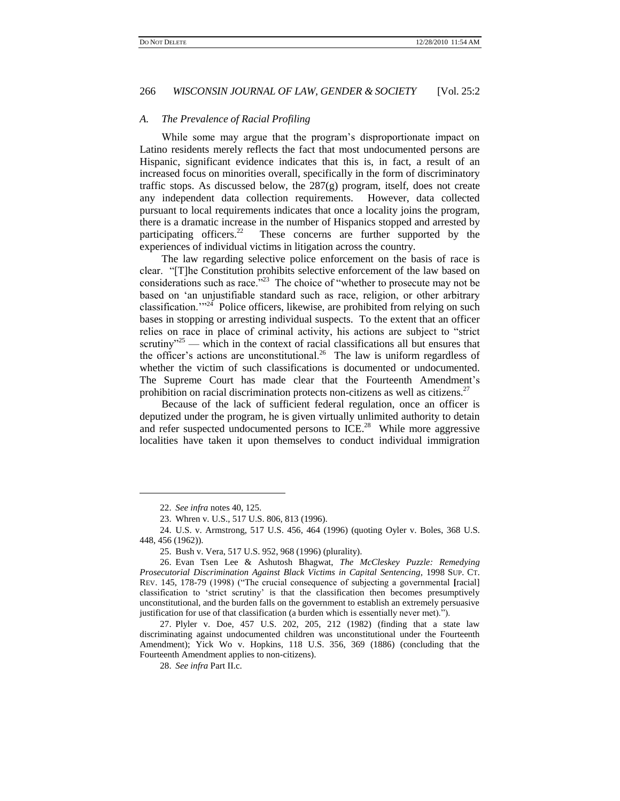#### *A. The Prevalence of Racial Profiling*

While some may argue that the program's disproportionate impact on Latino residents merely reflects the fact that most undocumented persons are Hispanic, significant evidence indicates that this is, in fact, a result of an increased focus on minorities overall, specifically in the form of discriminatory traffic stops. As discussed below, the  $287(g)$  program, itself, does not create any independent data collection requirements. However, data collected pursuant to local requirements indicates that once a locality joins the program, there is a dramatic increase in the number of Hispanics stopped and arrested by participating officers.<sup>22</sup> These concerns are further supported by the experiences of individual victims in litigation across the country.

The law regarding selective police enforcement on the basis of race is clear. ―[T]he Constitution prohibits selective enforcement of the law based on considerations such as race.<sup>723</sup> The choice of "whether to prosecute may not be based on 'an unjustifiable standard such as race, religion, or other arbitrary classification.<sup> $m24$ </sup> Police officers, likewise, are prohibited from relying on such bases in stopping or arresting individual suspects. To the extent that an officer relies on race in place of criminal activity, his actions are subject to "strict scrutiny<sup>325</sup> — which in the context of racial classifications all but ensures that the officer's actions are unconstitutional.<sup>26</sup> The law is uniform regardless of whether the victim of such classifications is documented or undocumented. The Supreme Court has made clear that the Fourteenth Amendment's prohibition on racial discrimination protects non-citizens as well as citizens.<sup>27</sup>

Because of the lack of sufficient federal regulation, once an officer is deputized under the program, he is given virtually unlimited authority to detain and refer suspected undocumented persons to ICE.<sup>28</sup> While more aggressive localities have taken it upon themselves to conduct individual immigration

l

27. Plyler v. Doe, 457 U.S. 202, 205, 212 (1982) (finding that a state law discriminating against undocumented children was unconstitutional under the Fourteenth Amendment); Yick Wo v. Hopkins, 118 U.S. 356, 369 (1886) (concluding that the Fourteenth Amendment applies to non-citizens).

28. *See infra* Part II.c.

<sup>22.</sup> *See infra* notes 40, 125.

<sup>23.</sup> Whren v. U.S., 517 U.S. 806, 813 (1996).

<sup>24.</sup> U.S. v. Armstrong, 517 U.S. 456, 464 (1996) (quoting Oyler v. Boles, 368 U.S. 448, 456 (1962)).

<sup>25.</sup> Bush v. Vera, 517 U.S. 952, 968 (1996) (plurality).

<sup>26.</sup> Evan Tsen Lee & Ashutosh Bhagwat, *The McCleskey Puzzle: Remedying Prosecutorial Discrimination Against Black Victims in Capital Sentencing*, [1998](https://www.lexis.com/research/buttonTFLink?_m=f7c34aa5ea550696f62e9f99f3c03426&_xfercite=%3ccite%20cc%3d%22USA%22%3e%3c%21%5bCDATA%5b61%20Vand.%20L.%20Rev.%201027%5d%5d%3e%3c%2fcite%3e&_butType=3&_butStat=2&_butNum=394&_butInline=1&_butinfo=%3ccite%20cc%3d%22USA%22%3e%3c%21%5bCDATA%5b1998%20Sup.%20Ct.%20Rev.%20145%2cat%20178%5d%5d%3e%3c%2fcite%3e&_fmtstr=FULL&docnum=5&_startdoc=1&wchp=dGLbVtz-zSkAW&_md5=082c412bd39e5734fbf0df6b78097e4d) SUP. CT. REV. [145, 178-79](https://www.lexis.com/research/buttonTFLink?_m=f7c34aa5ea550696f62e9f99f3c03426&_xfercite=%3ccite%20cc%3d%22USA%22%3e%3c%21%5bCDATA%5b61%20Vand.%20L.%20Rev.%201027%5d%5d%3e%3c%2fcite%3e&_butType=3&_butStat=2&_butNum=394&_butInline=1&_butinfo=%3ccite%20cc%3d%22USA%22%3e%3c%21%5bCDATA%5b1998%20Sup.%20Ct.%20Rev.%20145%2cat%20178%5d%5d%3e%3c%2fcite%3e&_fmtstr=FULL&docnum=5&_startdoc=1&wchp=dGLbVtz-zSkAW&_md5=082c412bd39e5734fbf0df6b78097e4d) (1998) ("The crucial consequence of subjecting a governmental [racial] classification to ‗strict scrutiny' is that the classification then becomes presumptively unconstitutional, and the burden falls on the government to establish an extremely persuasive justification for use of that classification (a burden which is essentially never met).").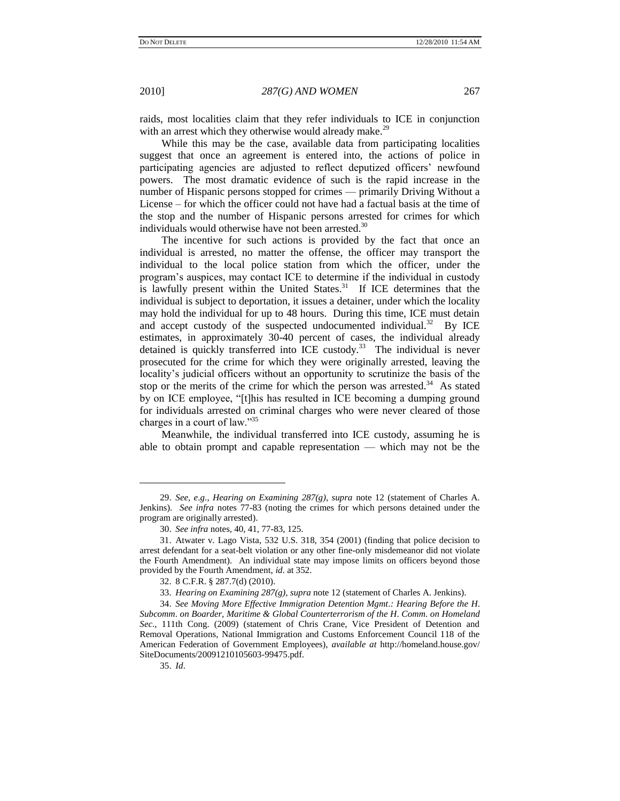raids, most localities claim that they refer individuals to ICE in conjunction with an arrest which they otherwise would already make.<sup>29</sup>

While this may be the case, available data from participating localities suggest that once an agreement is entered into, the actions of police in participating agencies are adjusted to reflect deputized officers' newfound powers. The most dramatic evidence of such is the rapid increase in the number of Hispanic persons stopped for crimes — primarily Driving Without a License – for which the officer could not have had a factual basis at the time of the stop and the number of Hispanic persons arrested for crimes for which individuals would otherwise have not been arrested.<sup>30</sup>

The incentive for such actions is provided by the fact that once an individual is arrested, no matter the offense, the officer may transport the individual to the local police station from which the officer, under the program's auspices, may contact ICE to determine if the individual in custody is lawfully present within the United States. $31$  If ICE determines that the individual is subject to deportation, it issues a detainer, under which the locality may hold the individual for up to 48 hours. During this time, ICE must detain and accept custody of the suspected undocumented individual.<sup>32</sup> By ICE estimates, in approximately 30-40 percent of cases, the individual already detained is quickly transferred into ICE custody.<sup>33</sup> The individual is never prosecuted for the crime for which they were originally arrested, leaving the locality's judicial officers without an opportunity to scrutinize the basis of the stop or the merits of the crime for which the person was arrested.<sup>34</sup> As stated by on ICE employee, "[t]his has resulted in ICE becoming a dumping ground for individuals arrested on criminal charges who were never cleared of those charges in a court of law."35

Meanwhile, the individual transferred into ICE custody, assuming he is able to obtain prompt and capable representation — which may not be the

35. *Id*.

<sup>29.</sup> *See, e*.*g*.*, Hearing on Examining 287(g), supra* note 12 (statement of Charles A. Jenkins). *See infra* notes 77-83 (noting the crimes for which persons detained under the program are originally arrested).

<sup>30.</sup> *See infra* notes, 40, 41, 77-83, 125.

<sup>31.</sup> Atwater v. Lago Vista, 532 [U.S.](http://en.wikipedia.org/wiki/United_States_Reports) [318,](http://supreme.justia.com/us/532/318/case.html) 354 (2001) (finding that police decision to arrest defendant for a seat-belt violation or any other fine-only misdemeanor did not violate the Fourth Amendment). An individual state may impose limits on officers beyond those provided by the Fourth Amendment, *id*. at 352.

<sup>32.</sup> 8 C.F.R. § 287.7(d) (2010).

<sup>33.</sup> *Hearing on Examining 287(g), supra* note 12 (statement of Charles A. Jenkins).

<sup>34.</sup> *See Moving More Effective Immigration Detention Mgmt*.*: Hearing Before the H*. *Subcomm*. *on Boarder, Maritime & Global Counterterrorism of the H*. *Comm*. *on Homeland Sec*., 111th Cong. (2009) (statement of Chris Crane, Vice President of Detention and Removal Operations, National Immigration and Customs Enforcement Council 118 of the American Federation of Government Employees), *available at* http://homeland.house.gov/ SiteDocuments/20091210105603-99475.pdf.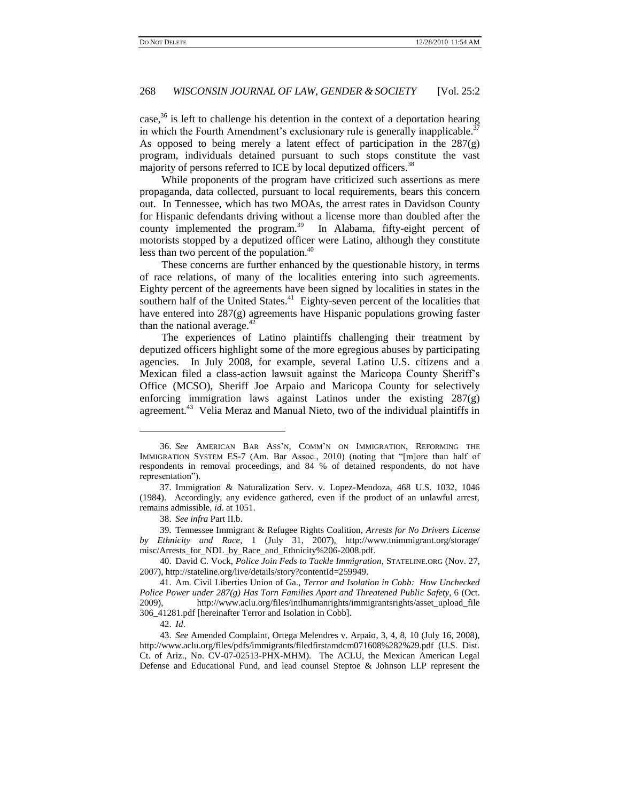case, $36$  is left to challenge his detention in the context of a deportation hearing in which the Fourth Amendment's exclusionary rule is generally inapplicable.<sup>37</sup> As opposed to being merely a latent effect of participation in the 287(g) program, individuals detained pursuant to such stops constitute the vast majority of persons referred to ICE by local deputized officers.<sup>38</sup>

While proponents of the program have criticized such assertions as mere propaganda, data collected, pursuant to local requirements, bears this concern out. In Tennessee, which has two MOAs, the arrest rates in Davidson County for Hispanic defendants driving without a license more than doubled after the county implemented the program. $39$  In Alabama, fifty-eight percent of motorists stopped by a deputized officer were Latino, although they constitute less than two percent of the population.<sup>40</sup>

These concerns are further enhanced by the questionable history, in terms of race relations, of many of the localities entering into such agreements. Eighty percent of the agreements have been signed by localities in states in the southern half of the United States. $41$  Eighty-seven percent of the localities that have entered into 287(g) agreements have Hispanic populations growing faster than the national average. $42$ 

The experiences of Latino plaintiffs challenging their treatment by deputized officers highlight some of the more egregious abuses by participating agencies. In July 2008, for example, several Latino U.S. citizens and a Mexican filed a class-action lawsuit against the Maricopa County Sheriff's Office (MCSO), Sheriff Joe Arpaio and Maricopa County for selectively enforcing immigration laws against Latinos under the existing 287(g) agreement.<sup>43</sup> Velia Meraz and Manual Nieto, two of the individual plaintiffs in

38. *See infra* Part II.b.

39. Tennessee Immigrant & Refugee Rights Coalition, *Arrests for No Drivers License by Ethnicity and Race*, 1 (July 31, 2007), http://www.tnimmigrant.org/storage/ misc/Arrests\_for\_NDL\_by\_Race\_and\_Ethnicity%206-2008.pdf.

40. David C. Vock, *Police Join Feds to Tackle Immigration*, STATELINE.ORG (Nov. 27, 2007), http://stateline.org/live/details/story?contentId=259949.

<sup>36.</sup> *See* AMERICAN BAR ASS'N, COMM'N ON IMMIGRATION, REFORMING THE IMMIGRATION SYSTEM ES-7 (Am. Bar Assoc., 2010) (noting that "[m]ore than half of respondents in removal proceedings, and 84 % of detained respondents, do not have representation").

<sup>37.</sup> Immigration & Naturalization Serv. v. Lopez-Mendoza, 468 U.S. 1032, 1046 (1984). Accordingly, any evidence gathered, even if the product of an unlawful arrest, remains admissible, *id*. at 1051.

<sup>41.</sup> Am. Civil Liberties Union of Ga., *Terror and Isolation in Cobb: How Unchecked Police Power under 287(g) Has Torn Families Apart and Threatened Public Safety*, 6 (Oct. 2009), http://www.aclu.org/files/intlhumanrights/immigrantsrights/asset\_upload\_file 306\_41281.pdf [hereinafter Terror and Isolation in Cobb].

<sup>42.</sup> *Id*.

<sup>43.</sup> *See* Amended Complaint, Ortega Melendres v. Arpaio, 3, 4, 8, 10 (July 16, 2008), http://www.aclu.org/files/pdfs/immigrants/filedfirstamdcm071608%282%29.pdf (U.S. Dist. Ct. of Ariz., No. CV-07-02513-PHX-MHM). The ACLU, the Mexican American Legal Defense and Educational Fund, and lead counsel Steptoe & Johnson LLP represent the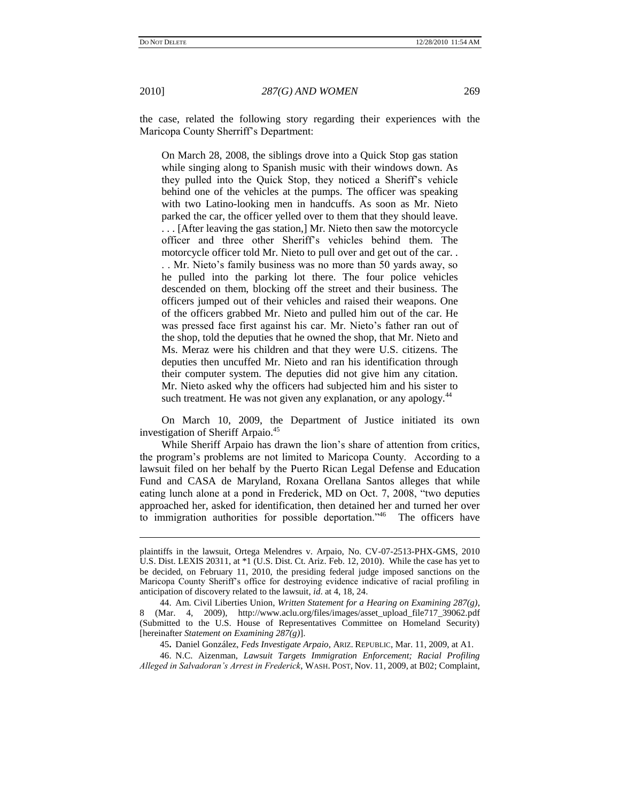$\overline{a}$ 

2010] *287(G) AND WOMEN* 269

the case, related the following story regarding their experiences with the Maricopa County Sherriff's Department:

On March 28, 2008, the siblings drove into a Quick Stop gas station while singing along to Spanish music with their windows down. As they pulled into the Quick Stop, they noticed a Sheriff's vehicle behind one of the vehicles at the pumps. The officer was speaking with two Latino-looking men in handcuffs. As soon as Mr. Nieto parked the car, the officer yelled over to them that they should leave. . . . [After leaving the gas station,] Mr. Nieto then saw the motorcycle officer and three other Sheriff's vehicles behind them. The motorcycle officer told Mr. Nieto to pull over and get out of the car. .

. . Mr. Nieto's family business was no more than 50 yards away, so he pulled into the parking lot there. The four police vehicles descended on them, blocking off the street and their business. The officers jumped out of their vehicles and raised their weapons. One of the officers grabbed Mr. Nieto and pulled him out of the car. He was pressed face first against his car. Mr. Nieto's father ran out of the shop, told the deputies that he owned the shop, that Mr. Nieto and Ms. Meraz were his children and that they were U.S. citizens. The deputies then uncuffed Mr. Nieto and ran his identification through their computer system. The deputies did not give him any citation. Mr. Nieto asked why the officers had subjected him and his sister to such treatment. He was not given any explanation, or any apology.<sup>44</sup>

On March 10, 2009, the Department of Justice initiated its own investigation of Sheriff Arpaio.<sup>45</sup>

While Sheriff Arpaio has drawn the lion's share of attention from critics, the program's problems are not limited to Maricopa County. According to a lawsuit filed on her behalf by the Puerto Rican Legal Defense and Education Fund and CASA de Maryland, Roxana Orellana Santos alleges that while eating lunch alone at a pond in Frederick, MD on Oct. 7, 2008, "two deputies approached her, asked for identification, then detained her and turned her over to immigration authorities for possible deportation."<sup>46</sup> The officers have

45**.** Daniel González, *Feds Investigate Arpaio*, ARIZ. REPUBLIC, Mar. 11, 2009, at A1.

46. N.C. Aizenman, *Lawsuit Targets Immigration Enforcement; Racial Profiling Alleged in Salvadoran"s Arrest in Frederick*, WASH. POST, Nov. 11, 2009, at B02; Complaint,

plaintiffs in the lawsuit, Ortega Melendres v. Arpaio, No. CV-07-2513-PHX-GMS, 2010 U.S. Dist. LEXIS 20311, at \*1 (U.S. Dist. Ct. Ariz. Feb. 12, 2010). While the case has yet to be decided, on February 11, 2010, the presiding federal judge imposed sanctions on the Maricopa County Sheriff's office for destroying evidence indicative of racial profiling in anticipation of discovery related to the lawsuit, *id*. at 4, 18, 24.

<sup>44.</sup> Am. Civil Liberties Union, *Written Statement for a Hearing on Examining 287(g)*, 8 (Mar. 4, 2009), http://www.aclu.org/files/images/asset\_upload\_file717\_39062.pdf (Submitted to the U.S. House of Representatives Committee on Homeland Security) [hereinafter *Statement on Examining 287(g)*].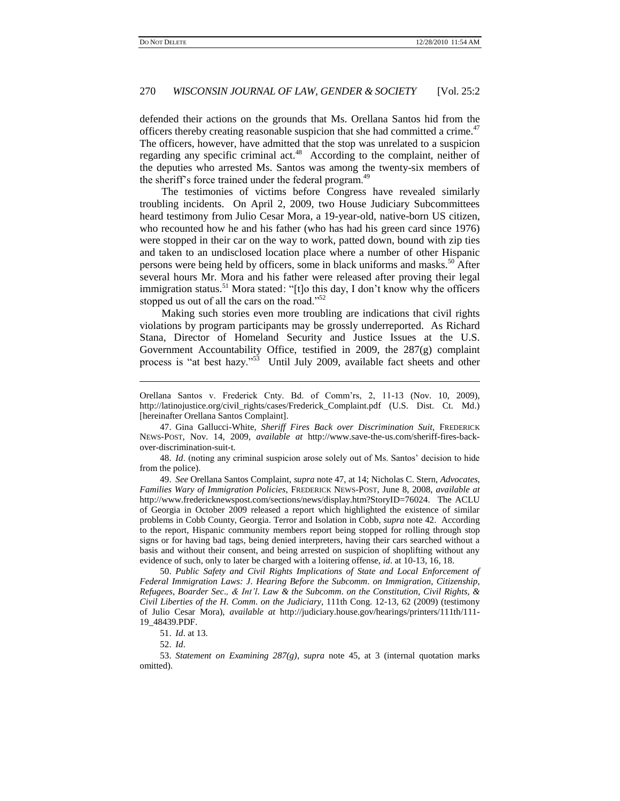defended their actions on the grounds that Ms. Orellana Santos hid from the officers thereby creating reasonable suspicion that she had committed a crime.<sup>47</sup> The officers, however, have admitted that the stop was unrelated to a suspicion regarding any specific criminal act.<sup>48</sup> According to the complaint, neither of the deputies who arrested Ms. Santos was among the twenty-six members of the sheriff's force trained under the federal program.<sup>49</sup>

The testimonies of victims before Congress have revealed similarly troubling incidents. On April 2, 2009, two House Judiciary Subcommittees heard testimony from Julio Cesar Mora, a 19-year-old, native-born US citizen, who recounted how he and his father (who has had his green card since 1976) were stopped in their car on the way to work, patted down, bound with zip ties and taken to an undisclosed location place where a number of other Hispanic persons were being held by officers, some in black uniforms and masks.<sup>50</sup> After several hours Mr. Mora and his father were released after proving their legal immigration status.<sup>51</sup> Mora stated: "[t]o this day, I don't know why the officers stopped us out of all the cars on the road." $52$ 

Making such stories even more troubling are indications that civil rights violations by program participants may be grossly underreported. As Richard Stana, Director of Homeland Security and Justice Issues at the U.S. Government Accountability Office, testified in 2009, the 287(g) complaint process is "at best hazy."<sup>53</sup> Until July 2009, available fact sheets and other

47. Gina Gallucci-White, *Sheriff Fires Back over Discrimination Suit*, FREDERICK NEWS-POST, Nov. 14, 2009, *available at* http://www.save-the-us.com/sheriff-fires-backover-discrimination-suit-t.

48. *Id*. (noting any criminal suspicion arose solely out of Ms. Santos' decision to hide from the police).

49. *See* Orellana Santos Complaint, *supra* note 47, at 14; Nicholas C. Stern, *Advocates, Families Wary of Immigration Policies*, FREDERICK NEWS-POST, June 8, 2008, *available at*  http://www.fredericknewspost.com/sections/news/display.htm?StoryID=76024. The ACLU of Georgia in October 2009 released a report which highlighted the existence of similar problems in Cobb County, Georgia. Terror and Isolation in Cobb, *supra* note 42. According to the report, Hispanic community members report being stopped for rolling through stop signs or for having bad tags, being denied interpreters, having their cars searched without a basis and without their consent, and being arrested on suspicion of shoplifting without any evidence of such, only to later be charged with a loitering offense, *id*. at 10-13, 16, 18.

50. *Public Safety and Civil Rights Implications of State and Local Enforcement of Federal Immigration Laws: J*. *Hearing Before the Subcomm*. *on Immigration, Citizenship, Refugees, Boarder Sec*.*, & Int"l*. *Law & the Subcomm*. *on the Constitution, Civil Rights, & Civil Liberties of the H*. *Comm*. *on the Judiciary*, 111th Cong. 12-13, 62 (2009) (testimony of Julio Cesar Mora), *available at* http://judiciary.house.gov/hearings/printers/111th/111- 19\_48439.PDF.

51. *Id*. at 13.

52. *Id*.

l

53. *Statement on Examining 287(g)*, *supra* note 45, at 3 (internal quotation marks omitted).

Orellana Santos v. Frederick Cnty. Bd. of Comm'rs, 2, 11-13 (Nov. 10, 2009), http://latinojustice.org/civil\_rights/cases/Frederick\_Complaint.pdf (U.S. Dist. Ct. Md.) [hereinafter Orellana Santos Complaint].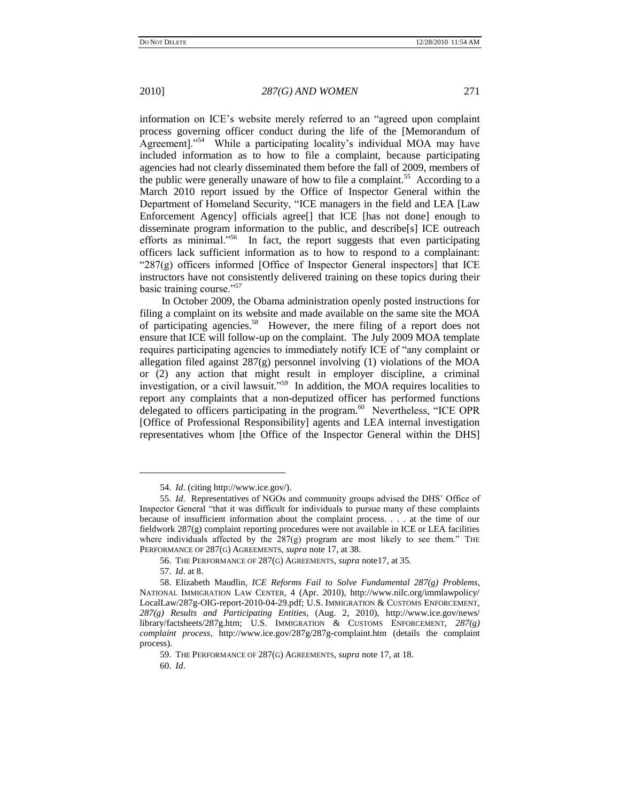information on ICE's website merely referred to an "agreed upon complaint" process governing officer conduct during the life of the [Memorandum of Agreement]."<sup>54</sup> While a participating locality's individual MOA may have included information as to how to file a complaint, because participating agencies had not clearly disseminated them before the fall of 2009, members of the public were generally unaware of how to file a complaint.<sup>55</sup> According to a March 2010 report issued by the Office of Inspector General within the Department of Homeland Security, "ICE managers in the field and LEA [Law Enforcement Agency] officials agree[] that ICE [has not done] enough to disseminate program information to the public, and describe[s] ICE outreach efforts as minimal."<sup>56</sup> In fact, the report suggests that even participating officers lack sufficient information as to how to respond to a complainant: " $287(g)$  officers informed [Office of Inspector General inspectors] that ICE instructors have not consistently delivered training on these topics during their basic training course."<sup>57</sup>

In October 2009, the Obama administration openly posted instructions for filing a complaint on its website and made available on the same site the MOA of participating agencies.<sup>58</sup> However, the mere filing of a report does not ensure that ICE will follow-up on the complaint. The July 2009 MOA template requires participating agencies to immediately notify ICE of "any complaint or allegation filed against 287(g) personnel involving (1) violations of the MOA or (2) any action that might result in employer discipline, a criminal investigation, or a civil lawsuit."<sup>59</sup> In addition, the MOA requires localities to report any complaints that a non-deputized officer has performed functions delegated to officers participating in the program.<sup>60</sup> Nevertheless, "ICE OPR [Office of Professional Responsibility] agents and LEA internal investigation representatives whom [the Office of the Inspector General within the DHS]

<sup>54.</sup> *Id*. (citing http://www.ice.gov/).

<sup>55.</sup> *Id*. Representatives of NGOs and community groups advised the DHS' Office of Inspector General "that it was difficult for individuals to pursue many of these complaints because of insufficient information about the complaint process. . . . at the time of our fieldwork 287(g) complaint reporting procedures were not available in ICE or LEA facilities where individuals affected by the  $287(g)$  program are most likely to see them." The PERFORMANCE OF 287(G) AGREEMENTS, *supra* note 17, at 38.

<sup>56.</sup> THE PERFORMANCE OF 287(G) AGREEMENTS, *supra* note17, at 35.

<sup>57.</sup> *Id*. at 8.

<sup>58.</sup> Elizabeth Maudlin, *ICE Reforms Fail to Solve Fundamental 287(g) Problems*, NATIONAL IMMIGRATION LAW CENTER, 4 (Apr. 2010), http://www.nilc.org/immlawpolicy/ LocalLaw/287g-OIG-report-2010-04-29.pdf; U.S. IMMIGRATION & CUSTOMS ENFORCEMENT, *287(g) Results and Participating Entities*, (Aug. 2, 2010), http://www.ice.gov/news/ library/factsheets/287g.htm; U.S. IMMIGRATION & CUSTOMS ENFORCEMENT, *287(g) complaint process*, http://www.ice.gov/287g/287g-complaint.htm (details the complaint process).

<sup>59.</sup> THE PERFORMANCE OF 287(G) AGREEMENTS, *supra* note 17, at 18.

<sup>60.</sup> *Id*.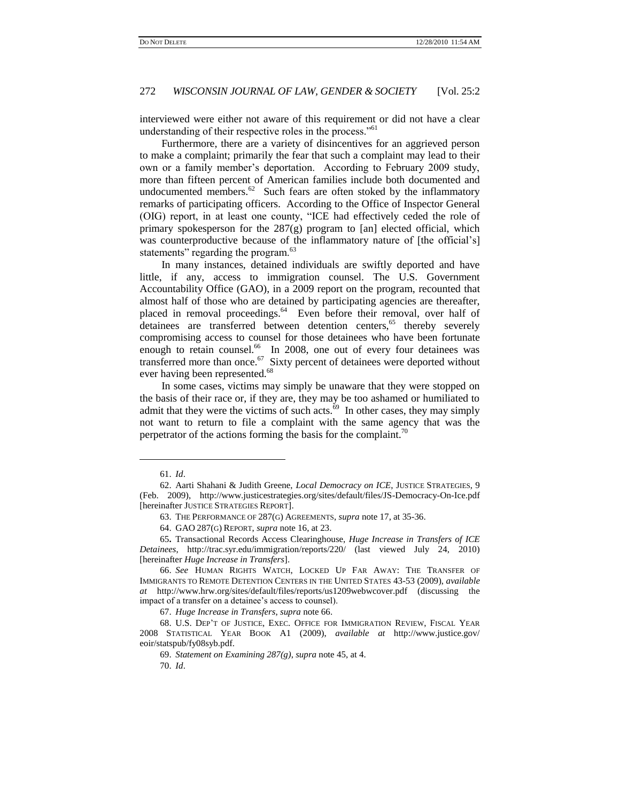interviewed were either not aware of this requirement or did not have a clear understanding of their respective roles in the process."<sup>61</sup>

Furthermore, there are a variety of disincentives for an aggrieved person to make a complaint; primarily the fear that such a complaint may lead to their own or a family member's deportation. According to February 2009 study, more than fifteen percent of American families include both documented and undocumented members. $62$  Such fears are often stoked by the inflammatory remarks of participating officers. According to the Office of Inspector General (OIG) report, in at least one county, "ICE had effectively ceded the role of primary spokesperson for the  $287(g)$  program to [an] elected official, which was counterproductive because of the inflammatory nature of [the official's] statements" regarding the program.<sup>63</sup>

In many instances, detained individuals are swiftly deported and have little, if any, access to immigration counsel. The U.S. Government Accountability Office (GAO), in a 2009 report on the program, recounted that almost half of those who are detained by participating agencies are thereafter, placed in removal proceedings.<sup>64</sup> Even before their removal, over half of detainees are transferred between detention centers,<sup>65</sup> thereby severely compromising access to counsel for those detainees who have been fortunate enough to retain counsel.<sup>66</sup> In 2008, one out of every four detainees was transferred more than once.<sup>67</sup> Sixty percent of detainees were deported without ever having been represented.<sup>68</sup>

In some cases, victims may simply be unaware that they were stopped on the basis of their race or, if they are, they may be too ashamed or humiliated to admit that they were the victims of such acts. $^{69}$  In other cases, they may simply not want to return to file a complaint with the same agency that was the perpetrator of the actions forming the basis for the complaint.<sup> $0$ </sup>

<sup>61.</sup> *Id*.

<sup>62.</sup> Aarti Shahani & Judith Greene, *Local Democracy on ICE*, JUSTICE STRATEGIES, 9 (Feb. 2009), http://www.justicestrategies.org/sites/default/files/JS-Democracy-On-Ice.pdf [hereinafter JUSTICE STRATEGIES REPORT].

<sup>63.</sup> THE PERFORMANCE OF 287(G) AGREEMENTS, *supra* note 17, at 35-36.

<sup>64.</sup> GAO 287(G) REPORT, *supra* note 16, at 23.

<sup>65</sup>**.** Transactional Records Access Clearinghouse, *Huge Increase in Transfers of ICE Detainees*, http://trac.syr.edu/immigration/reports/220/ (last viewed July 24, 2010) [hereinafter *Huge Increase in Transfers*].

<sup>66.</sup> *See* HUMAN RIGHTS WATCH, LOCKED UP FAR AWAY: THE TRANSFER OF IMMIGRANTS TO REMOTE DETENTION CENTERS IN THE UNITED STATES 43-53 (2009), *available at* http://www.hrw.org/sites/default/files/reports/us1209webwcover.pdf (discussing the impact of a transfer on a detainee's access to counsel).

<sup>67.</sup> *Huge Increase in Transfers*, *supra* note 66.

<sup>68.</sup> U.S. DEP'T OF JUSTICE, EXEC. OFFICE FOR IMMIGRATION REVIEW, FISCAL YEAR 2008 STATISTICAL YEAR BOOK A1 (2009), *available at* http://www.justice.gov/ eoir/statspub/fy08syb.pdf.

<sup>69.</sup> *Statement on Examining 287(g)*, *supra* note 45, at 4.

<sup>70.</sup> *Id*.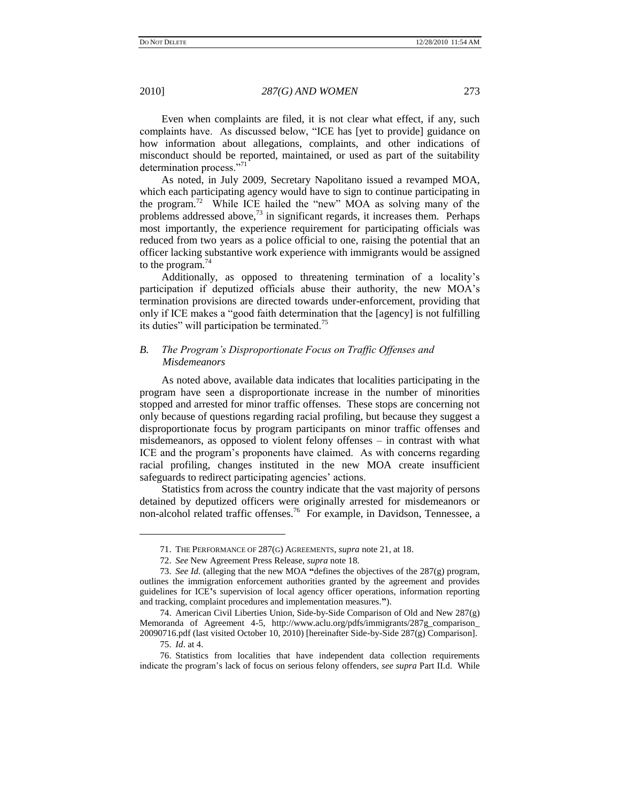Even when complaints are filed, it is not clear what effect, if any, such complaints have. As discussed below, "ICE has [yet to provide] guidance on how information about allegations, complaints, and other indications of misconduct should be reported, maintained, or used as part of the suitability determination process."71

As noted, in July 2009, Secretary Napolitano issued a revamped MOA, which each participating agency would have to sign to continue participating in the program.<sup>72</sup> While ICE hailed the "new" MOA as solving many of the problems addressed above, $73$  in significant regards, it increases them. Perhaps most importantly, the experience requirement for participating officials was reduced from two years as a police official to one, raising the potential that an officer lacking substantive work experience with immigrants would be assigned to the program. $44$ 

Additionally, as opposed to threatening termination of a locality's participation if deputized officials abuse their authority, the new MOA's termination provisions are directed towards under-enforcement, providing that only if ICE makes a "good faith determination that the [agency] is not fulfilling its duties" will participation be terminated.<sup>75</sup>

## *B. The Program"s Disproportionate Focus on Traffic Offenses and Misdemeanors*

As noted above, available data indicates that localities participating in the program have seen a disproportionate increase in the number of minorities stopped and arrested for minor traffic offenses. These stops are concerning not only because of questions regarding racial profiling, but because they suggest a disproportionate focus by program participants on minor traffic offenses and misdemeanors, as opposed to violent felony offenses – in contrast with what ICE and the program's proponents have claimed. As with concerns regarding racial profiling, changes instituted in the new MOA create insufficient safeguards to redirect participating agencies' actions.

Statistics from across the country indicate that the vast majority of persons detained by deputized officers were originally arrested for misdemeanors or non-alcohol related traffic offenses.<sup>76</sup> For example, in Davidson, Tennessee, a

<sup>71.</sup> THE PERFORMANCE OF 287(G) AGREEMENTS, *supra* note 21, at 18.

<sup>72.</sup> *See* New Agreement Press Release, *supra* note 18.

<sup>73.</sup> *See Id*. (alleging that the new MOA **"**defines the objectives of the 287(g) program, outlines the immigration enforcement authorities granted by the agreement and provides guidelines for ICE**'**s supervision of local agency officer operations, information reporting and tracking, complaint procedures and implementation measures.**"**).

<sup>74.</sup> American Civil Liberties Union, Side-by-Side Comparison of Old and New 287(g) Memoranda of Agreement 4-5, http://www.aclu.org/pdfs/immigrants/287g\_comparison\_ 20090716.pdf (last visited October 10, 2010) [hereinafter Side-by-Side 287(g) Comparison].

<sup>75.</sup> *Id*. at 4.

<sup>76.</sup> Statistics from localities that have independent data collection requirements indicate the program's lack of focus on serious felony offenders, *see supra* Part II.d. While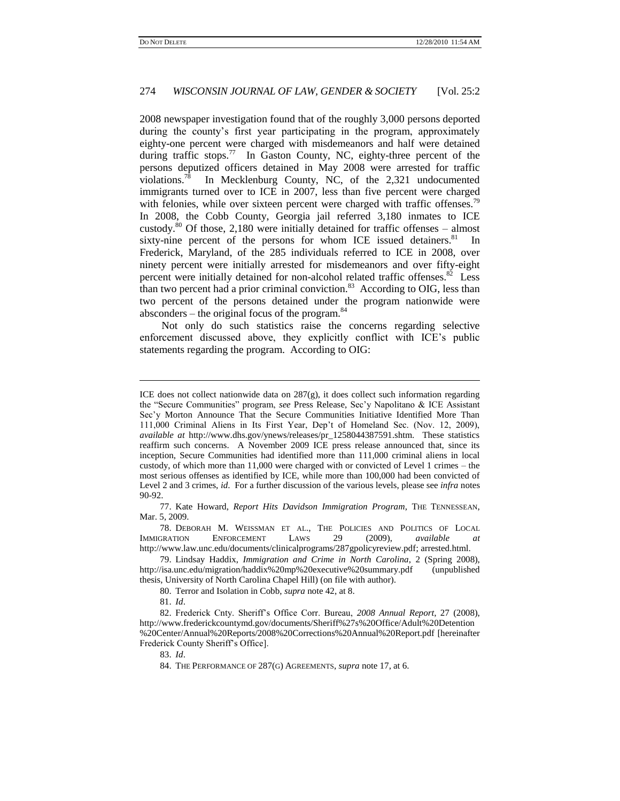2008 newspaper investigation found that of the roughly 3,000 persons deported during the county's first year participating in the program, approximately eighty-one percent were charged with misdemeanors and half were detained during traffic stops.<sup>77</sup> In Gaston County, NC, eighty-three percent of the persons deputized officers detained in May 2008 were arrested for traffic violations.<sup>78</sup> In Mecklenburg County, NC, of the 2,321 undocumented immigrants turned over to ICE in 2007, less than five percent were charged with felonies, while over sixteen percent were charged with traffic offenses.<sup>79</sup> In 2008, the Cobb County, Georgia jail referred 3,180 inmates to ICE custody. $80$  Of those, 2,180 were initially detained for traffic offenses – almost sixty-nine percent of the persons for whom ICE issued detainers. $81$  In Frederick, Maryland, of the 285 individuals referred to ICE in 2008, over ninety percent were initially arrested for misdemeanors and over fifty-eight percent were initially detained for non-alcohol related traffic offenses.<sup>82</sup> Less than two percent had a prior criminal conviction. $83$  According to OIG, less than two percent of the persons detained under the program nationwide were absconders – the original focus of the program. $84$ 

Not only do such statistics raise the concerns regarding selective enforcement discussed above, they explicitly conflict with ICE's public statements regarding the program. According to OIG:

77. Kate Howard, *Report Hits Davidson Immigration Program*, THE TENNESSEAN, Mar. 5, 2009.

80. Terror and Isolation in Cobb, *supra* note 42, at 8.

l

83. *Id*.

ICE does not collect nationwide data on 287(g), it does collect such information regarding the "Secure Communities" program, *see* Press Release, Sec'y Napolitano & ICE Assistant Sec'y Morton Announce That the Secure Communities Initiative Identified More Than 111,000 Criminal Aliens in Its First Year, Dep't of Homeland Sec. (Nov. 12, 2009), *available at* http://www.dhs.gov/ynews/releases/pr\_1258044387591.shtm. These statistics reaffirm such concerns. A November 2009 ICE press release announced that, since its inception, Secure Communities had identified more than 111,000 criminal aliens in local custody, of which more than 11,000 were charged with or convicted of Level 1 crimes – the most serious offenses as identified by ICE, while more than 100,000 had been convicted of Level 2 and 3 crimes, *id*. For a further discussion of the various levels, please see *infra* notes 90-92.

<sup>78.</sup> DEBORAH M. WEISSMAN ET AL., THE POLICIES AND POLITICS OF LOCAL IMMIGRATION ENFORCEMENT LAWS 29 (2009), *available* http://www.law.unc.edu/documents/clinicalprograms/287gpolicyreview.pdf; arrested.html.

<sup>79.</sup> Lindsay Haddix, *Immigration and Crime in North Carolina*, 2 (Spring 2008), http://isa.unc.edu/migration/haddix%20mp%20executive%20summary.pdf (unpublished thesis, University of North Carolina Chapel Hill) (on file with author).

<sup>81.</sup> *Id*.

<sup>82.</sup> Frederick Cnty. Sheriff's Office Corr. Bureau, *2008 Annual Report*, 27 (2008), http://www.frederickcountymd.gov/documents/Sheriff%27s%20Office/Adult%20Detention %20Center/Annual%20Reports/2008%20Corrections%20Annual%20Report.pdf [hereinafter Frederick County Sheriff's Office].

<sup>84.</sup> THE PERFORMANCE OF 287(G) AGREEMENTS, *supra* note 17, at 6.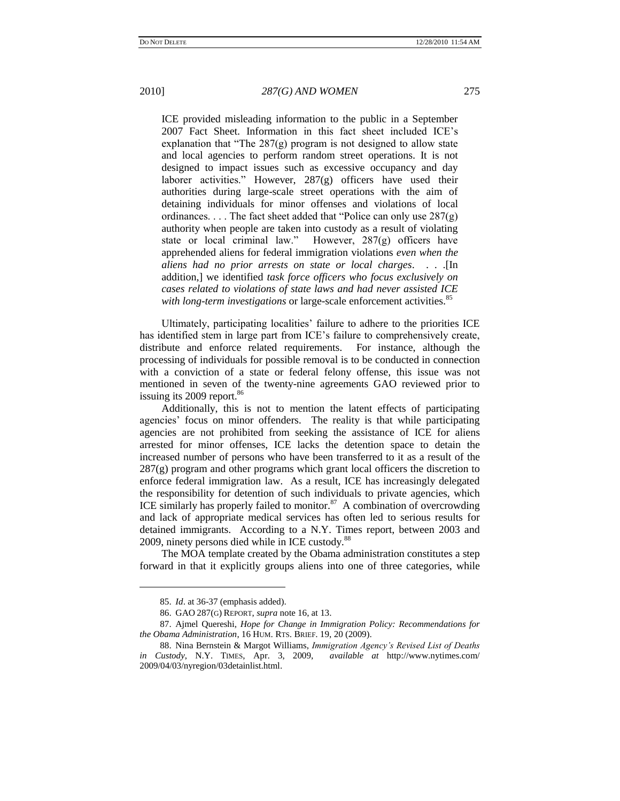ICE provided misleading information to the public in a September 2007 Fact Sheet. Information in this fact sheet included ICE's explanation that "The  $287(g)$  program is not designed to allow state and local agencies to perform random street operations. It is not designed to impact issues such as excessive occupancy and day laborer activities." However, 287(g) officers have used their authorities during large-scale street operations with the aim of detaining individuals for minor offenses and violations of local ordinances. . . . The fact sheet added that "Police can only use  $287(g)$ authority when people are taken into custody as a result of violating state or local criminal law." However,  $287(g)$  officers have apprehended aliens for federal immigration violations *even when the aliens had no prior arrests on state or local charges*. . . .[In addition,] we identified *task force officers who focus exclusively on cases related to violations of state laws and had never assisted ICE with long-term investigations* or large-scale enforcement activities.<sup>85</sup>

Ultimately, participating localities' failure to adhere to the priorities ICE has identified stem in large part from ICE's failure to comprehensively create, distribute and enforce related requirements. For instance, although the processing of individuals for possible removal is to be conducted in connection with a conviction of a state or federal felony offense, this issue was not mentioned in seven of the twenty-nine agreements GAO reviewed prior to issuing its  $2009$  report.<sup>86</sup>

Additionally, this is not to mention the latent effects of participating agencies' focus on minor offenders. The reality is that while participating agencies are not prohibited from seeking the assistance of ICE for aliens arrested for minor offenses, ICE lacks the detention space to detain the increased number of persons who have been transferred to it as a result of the  $287(g)$  program and other programs which grant local officers the discretion to enforce federal immigration law. As a result, ICE has increasingly delegated the responsibility for detention of such individuals to private agencies, which ICE similarly has properly failed to monitor. $87$  A combination of overcrowding and lack of appropriate medical services has often led to serious results for detained immigrants. According to a N.Y. Times report, between 2003 and 2009, ninety persons died while in ICE custody.<sup>88</sup>

The MOA template created by the Obama administration constitutes a step forward in that it explicitly groups aliens into one of three categories, while

<sup>85.</sup> *Id*. at 36-37 (emphasis added).

<sup>86.</sup> GAO 287(G) REPORT, *supra* note 16, at 13.

<sup>87.</sup> Ajmel Quereshi, *Hope for Change in Immigration Policy: Recommendations for the Obama Administration*, 16 HUM. RTS. BRIEF. 19, 20 (2009).

<sup>88.</sup> Nina Bernstein & Margot Williams, *Immigration Agency"s Revised List of Deaths in Custody*, N.Y. TIMES, Apr. 3, 2009, *available at* [http://www.nytimes.com/](http://www.nytimes.com/2009/04/03/nyregion/03detainlist.html) [2009/04/03/nyregion/03detainlist.html.](http://www.nytimes.com/2009/04/03/nyregion/03detainlist.html)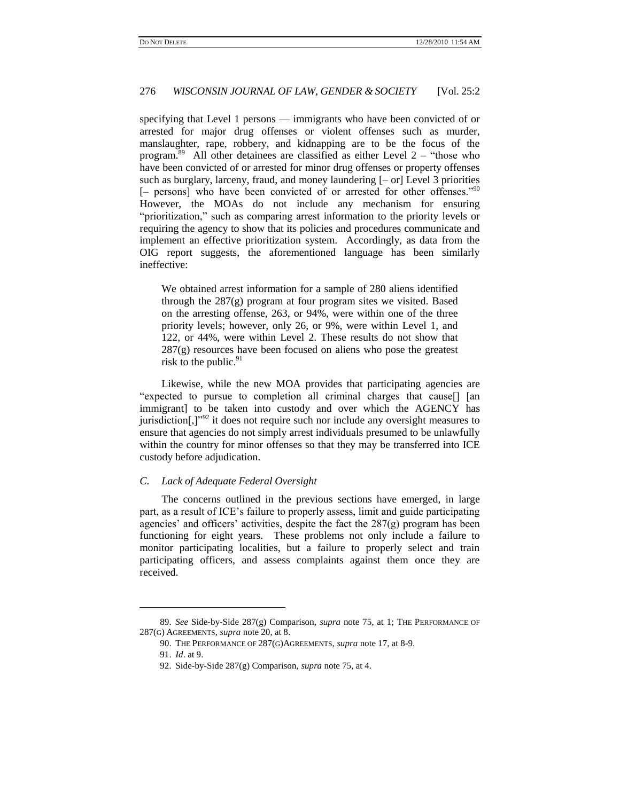specifying that Level 1 persons — immigrants who have been convicted of or arrested for major drug offenses or violent offenses such as murder, manslaughter, rape, robbery, and kidnapping are to be the focus of the program.<sup>89</sup> All other detainees are classified as either Level  $2 -$  "those who have been convicted of or arrested for minor drug offenses or property offenses such as burglary, larceny, fraud, and money laundering [– or] Level 3 priorities [- persons] who have been convicted of or arrested for other offenses."<sup>90</sup> However, the MOAs do not include any mechanism for ensuring "prioritization," such as comparing arrest information to the priority levels or requiring the agency to show that its policies and procedures communicate and implement an effective prioritization system. Accordingly, as data from the OIG report suggests, the aforementioned language has been similarly ineffective:

We obtained arrest information for a sample of 280 aliens identified through the 287(g) program at four program sites we visited. Based on the arresting offense, 263, or 94%, were within one of the three priority levels; however, only 26, or 9%, were within Level 1, and 122, or 44%, were within Level 2. These results do not show that 287(g) resources have been focused on aliens who pose the greatest risk to the public. $91$ 

Likewise, while the new MOA provides that participating agencies are "expected to pursue to completion all criminal charges that cause. immigrant] to be taken into custody and over which the AGENCY has jurisdiction $[$ , $]$ <sup>92</sup> it does not require such nor include any oversight measures to ensure that agencies do not simply arrest individuals presumed to be unlawfully within the country for minor offenses so that they may be transferred into ICE custody before adjudication.

#### *C. Lack of Adequate Federal Oversight*

The concerns outlined in the previous sections have emerged, in large part, as a result of ICE's failure to properly assess, limit and guide participating agencies' and officers' activities, despite the fact the  $287(g)$  program has been functioning for eight years. These problems not only include a failure to monitor participating localities, but a failure to properly select and train participating officers, and assess complaints against them once they are received.

<sup>89.</sup> *See* Side-by-Side 287(g) Comparison, *supra* note 75, at 1; THE PERFORMANCE OF 287(G) AGREEMENTS, *supra* note [20,](#page-4-0) at 8.

<sup>90.</sup> THE PERFORMANCE OF 287(G)AGREEMENTS, *supra* note 17, at 8-9.

<sup>91.</sup> *Id*. at 9.

<sup>92.</sup> Side-by-Side 287(g) Comparison, *supra* note 75, at 4.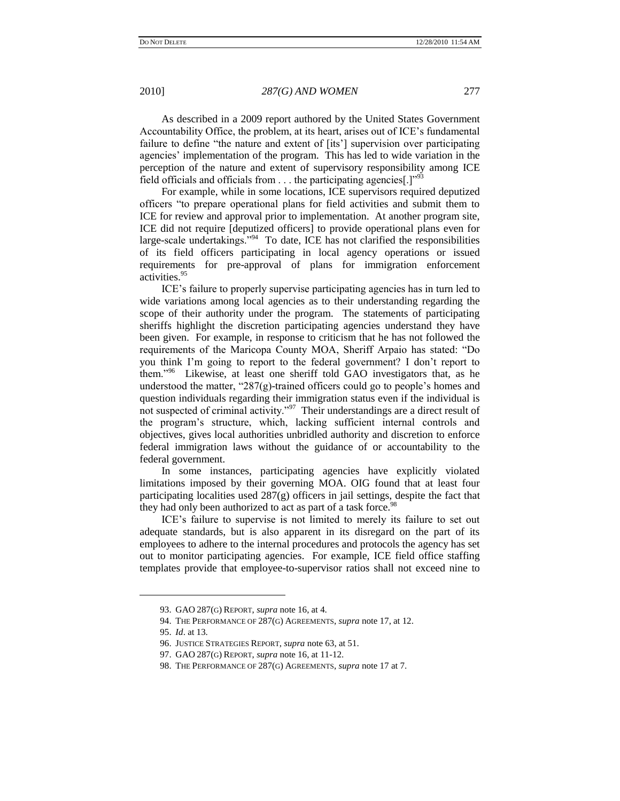As described in a 2009 report authored by the United States Government Accountability Office, the problem, at its heart, arises out of ICE's fundamental failure to define "the nature and extent of [its'] supervision over participating agencies' implementation of the program. This has led to wide variation in the perception of the nature and extent of supervisory responsibility among ICE field officials and officials from  $\dots$  the participating agencies[.]<sup>993</sup>

For example, while in some locations, ICE supervisors required deputized officers "to prepare operational plans for field activities and submit them to ICE for review and approval prior to implementation. At another program site, ICE did not require [deputized officers] to provide operational plans even for large-scale undertakings."<sup>94</sup> To date, ICE has not clarified the responsibilities of its field officers participating in local agency operations or issued requirements for pre-approval of plans for immigration enforcement activities.<sup>95</sup>

ICE's failure to properly supervise participating agencies has in turn led to wide variations among local agencies as to their understanding regarding the scope of their authority under the program. The statements of participating sheriffs highlight the discretion participating agencies understand they have been given. For example, in response to criticism that he has not followed the requirements of the Maricopa County MOA, Sheriff Arpaio has stated: "Do you think I'm going to report to the federal government? I don't report to them."<sup>96</sup> Likewise, at least one sheriff told GAO investigators that, as he understood the matter, "287 $(g)$ -trained officers could go to people's homes and question individuals regarding their immigration status even if the individual is not suspected of criminal activity."<sup>97</sup> Their understandings are a direct result of the program's structure, which, lacking sufficient internal controls and objectives, gives local authorities unbridled authority and discretion to enforce federal immigration laws without the guidance of or accountability to the federal government.

In some instances, participating agencies have explicitly violated limitations imposed by their governing MOA. OIG found that at least four participating localities used 287(g) officers in jail settings, despite the fact that they had only been authorized to act as part of a task force.<sup>98</sup>

ICE's failure to supervise is not limited to merely its failure to set out adequate standards, but is also apparent in its disregard on the part of its employees to adhere to the internal procedures and protocols the agency has set out to monitor participating agencies. For example, ICE field office staffing templates provide that employee-to-supervisor ratios shall not exceed nine to

<sup>93.</sup> GAO 287(G) REPORT, *supra* note 16, at 4.

<sup>94.</sup> THE PERFORMANCE OF 287(G) AGREEMENTS, *supra* note 17, at 12.

<sup>95.</sup> *Id*. at 13.

<sup>96.</sup> JUSTICE STRATEGIES REPORT, *supra* note 63, at 51.

<sup>97.</sup> GAO 287(G) REPORT, *supra* note 16, at 11-12.

<sup>98.</sup> THE PERFORMANCE OF 287(G) AGREEMENTS, *supra* note 17 at 7.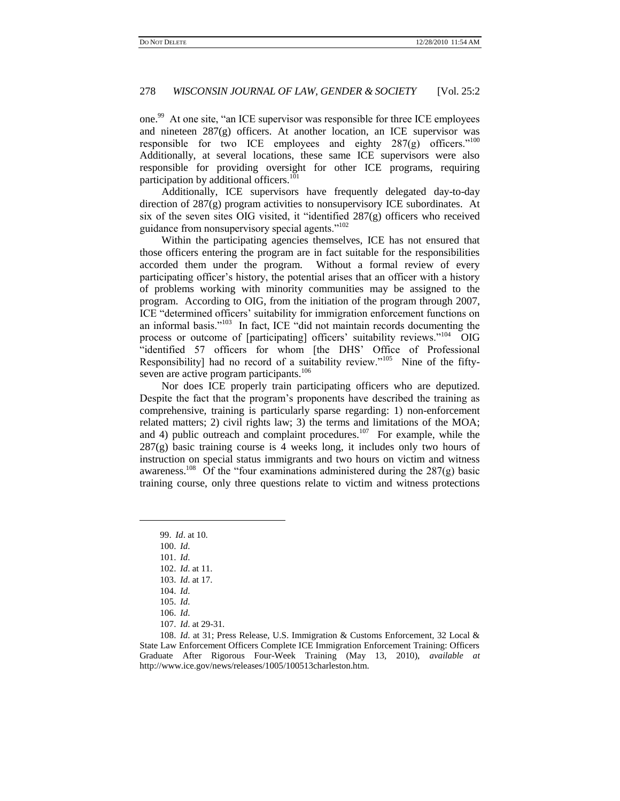one.<sup>99</sup> At one site, "an ICE supervisor was responsible for three ICE employees and nineteen  $287(g)$  officers. At another location, an ICE supervisor was responsible for two ICE employees and eighty  $287(g)$  officers.<sup>"100</sup> Additionally, at several locations, these same ICE supervisors were also responsible for providing oversight for other ICE programs, requiring participation by additional officers.<sup>101</sup>

Additionally, ICE supervisors have frequently delegated day-to-day direction of 287(g) program activities to nonsupervisory ICE subordinates. At six of the seven sites OIG visited, it "identified  $287(g)$  officers who received guidance from nonsupervisory special agents."<sup>102</sup>

Within the participating agencies themselves, ICE has not ensured that those officers entering the program are in fact suitable for the responsibilities accorded them under the program. Without a formal review of every participating officer's history, the potential arises that an officer with a history of problems working with minority communities may be assigned to the program. According to OIG, from the initiation of the program through 2007, ICE "determined officers' suitability for immigration enforcement functions on an informal basis." $103$  In fact, ICE "did not maintain records documenting the process or outcome of [participating] officers' suitability reviews."<sup>104</sup> OIG ―identified 57 officers for whom [the DHS' Office of Professional Responsibility] had no record of a suitability review."<sup>105</sup> Nine of the fiftyseven are active program participants.<sup>106</sup>

Nor does ICE properly train participating officers who are deputized. Despite the fact that the program's proponents have described the training as comprehensive, training is particularly sparse regarding: 1) non-enforcement related matters; 2) civil rights law; 3) the terms and limitations of the MOA; and 4) public outreach and complaint procedures.<sup>107</sup> For example, while the  $287(g)$  basic training course is 4 weeks long, it includes only two hours of instruction on special status immigrants and two hours on victim and witness awareness.<sup>108</sup> Of the "four examinations administered during the  $287(g)$  basic training course, only three questions relate to victim and witness protections

- 102. *Id*. at 11.
- 103. *Id*. at 17.

- 105. *Id*.
- 106. *Id*.
- 107. *Id*. at 29-31.

<sup>99.</sup> *Id*. at 10.

<sup>100.</sup> *Id*.

<sup>101.</sup> *Id*.

<sup>104.</sup> *Id*.

<sup>108.</sup> *Id*. at 31; Press Release, U.S. Immigration & Customs Enforcement, 32 Local & State Law Enforcement Officers Complete ICE Immigration Enforcement Training: Officers Graduate After Rigorous Four-Week Training (May 13, 2010), *available at*  http://www.ice.gov/news/releases/1005/100513charleston.htm.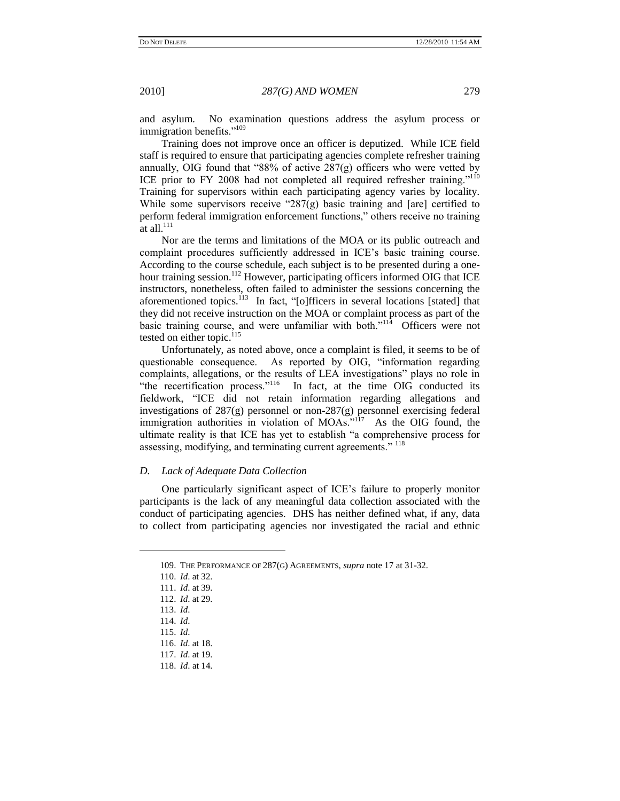and asylum. No examination questions address the asylum process or immigration benefits."<sup>109</sup>

Training does not improve once an officer is deputized. While ICE field staff is required to ensure that participating agencies complete refresher training annually, OIG found that "88% of active  $287(g)$  officers who were vetted by ICE prior to FY 2008 had not completed all required refresher training."<sup>110</sup> Training for supervisors within each participating agency varies by locality. While some supervisors receive  $287(g)$  basic training and [are] certified to perform federal immigration enforcement functions," others receive no training at all.<sup>111</sup>

Nor are the terms and limitations of the MOA or its public outreach and complaint procedures sufficiently addressed in ICE's basic training course. According to the course schedule, each subject is to be presented during a onehour training session.<sup>112</sup> However, participating officers informed OIG that ICE instructors, nonetheless, often failed to administer the sessions concerning the aforementioned topics.<sup>113</sup> In fact, "[o]fficers in several locations [stated] that they did not receive instruction on the MOA or complaint process as part of the basic training course, and were unfamiliar with both."<sup>114</sup> Officers were not tested on either topic.<sup>115</sup>

Unfortunately, as noted above, once a complaint is filed, it seems to be of questionable consequence. As reported by OIG, "information regarding complaints, allegations, or the results of LEA investigations" plays no role in "the recertification process."<sup>116</sup> In fact, at the time OIG conducted its fieldwork, "ICE did not retain information regarding allegations and investigations of 287(g) personnel or non-287(g) personnel exercising federal immigration authorities in violation of MOAs."<sup>117</sup> As the OIG found, the ultimate reality is that ICE has yet to establish "a comprehensive process for assessing, modifying, and terminating current agreements." <sup>118</sup>

#### *D. Lack of Adequate Data Collection*

One particularly significant aspect of ICE's failure to properly monitor participants is the lack of any meaningful data collection associated with the conduct of participating agencies. DHS has neither defined what, if any, data to collect from participating agencies nor investigated the racial and ethnic

<sup>109.</sup> THE PERFORMANCE OF 287(G) AGREEMENTS, *supra* note 17 at 31-32.

<sup>110.</sup> *Id*. at 32.

<sup>111.</sup> *Id*. at 39.

<sup>112.</sup> *Id*. at 29.

<sup>113.</sup> *Id*.

<sup>114.</sup> *Id*.

<sup>115.</sup> *Id*.

<sup>116.</sup> *Id*. at 18.

<sup>117.</sup> *Id*. at 19.

<sup>118.</sup> *Id*. at 14.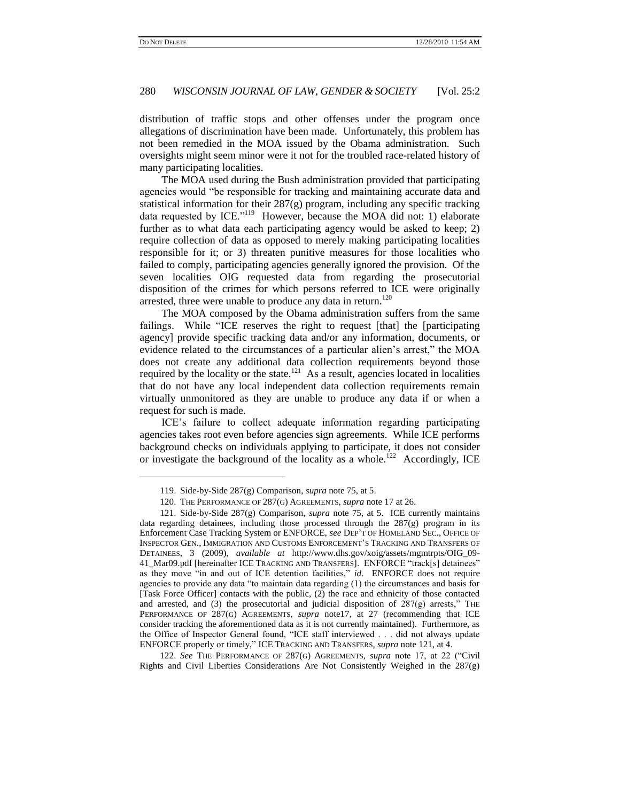l

### 280 *WISCONSIN JOURNAL OF LAW, GENDER & SOCIETY* [Vol. 25:2

distribution of traffic stops and other offenses under the program once allegations of discrimination have been made. Unfortunately, this problem has not been remedied in the MOA issued by the Obama administration. Such oversights might seem minor were it not for the troubled race-related history of many participating localities.

The MOA used during the Bush administration provided that participating agencies would "be responsible for tracking and maintaining accurate data and statistical information for their 287(g) program, including any specific tracking data requested by ICE."<sup>119</sup> However, because the MOA did not: 1) elaborate further as to what data each participating agency would be asked to keep; 2) require collection of data as opposed to merely making participating localities responsible for it; or 3) threaten punitive measures for those localities who failed to comply, participating agencies generally ignored the provision. Of the seven localities OIG requested data from regarding the prosecutorial disposition of the crimes for which persons referred to ICE were originally arrested, three were unable to produce any data in return.<sup>120</sup>

The MOA composed by the Obama administration suffers from the same failings. While "ICE reserves the right to request [that] the [participating agency] provide specific tracking data and/or any information, documents, or evidence related to the circumstances of a particular alien's arrest," the MOA does not create any additional data collection requirements beyond those required by the locality or the state.<sup>121</sup> As a result, agencies located in localities that do not have any local independent data collection requirements remain virtually unmonitored as they are unable to produce any data if or when a request for such is made.

<span id="page-19-0"></span>ICE's failure to collect adequate information regarding participating agencies takes root even before agencies sign agreements. While ICE performs background checks on individuals applying to participate, it does not consider or investigate the background of the locality as a whole.<sup>122</sup> Accordingly, ICE

122. See THE PERFORMANCE OF 287(G) AGREEMENTS, *supra* note 17, at 22 ("Civil Rights and Civil Liberties Considerations Are Not Consistently Weighed in the 287(g)

<sup>119.</sup> Side-by-Side 287(g) Comparison, *supra* note 75, at 5.

<sup>120.</sup> THE PERFORMANCE OF 287(G) AGREEMENTS, *supra* note 17 at 26.

<sup>121.</sup> Side-by-Side 287(g) Comparison, *supra* note 75, at 5. ICE currently maintains data regarding detainees, including those processed through the  $287(g)$  program in its Enforcement Case Tracking System or ENFORCE, *see* DEP'T OF HOMELAND SEC., OFFICE OF INSPECTOR GEN., IMMIGRATION AND CUSTOMS ENFORCEMENT'S TRACKING AND TRANSFERS OF DETAINEES, 3 (2009), *available at* [http://www.dhs.gov/xoig/assets/mgmtrpts/OIG\\_09-](http://www.dhs.gov/xoig/assets/mgmtrpts/OIG_09-41_Mar09.pdf) [41\\_Mar09.pdf](http://www.dhs.gov/xoig/assets/mgmtrpts/OIG_09-41_Mar09.pdf) [hereinafter ICE TRACKING AND TRANSFERS]. ENFORCE "track[s] detainees" as they move "in and out of ICE detention facilities," *id.* ENFORCE does not require agencies to provide any data "to maintain data regarding  $(1)$  the circumstances and basis for [Task Force Officer] contacts with the public, (2) the race and ethnicity of those contacted and arrested, and  $(3)$  the prosecutorial and judicial disposition of  $287(g)$  arrests," THE PERFORMANCE OF 287(G) AGREEMENTS, *supra* note17, at 27 (recommending that ICE consider tracking the aforementioned data as it is not currently maintained). Furthermore, as the Office of Inspector General found, "ICE staff interviewed . . . did not always update ENFORCE properly or timely," ICE TRACKING AND TRANSFERS, *supra* not[e 121,](#page-19-0) at 4.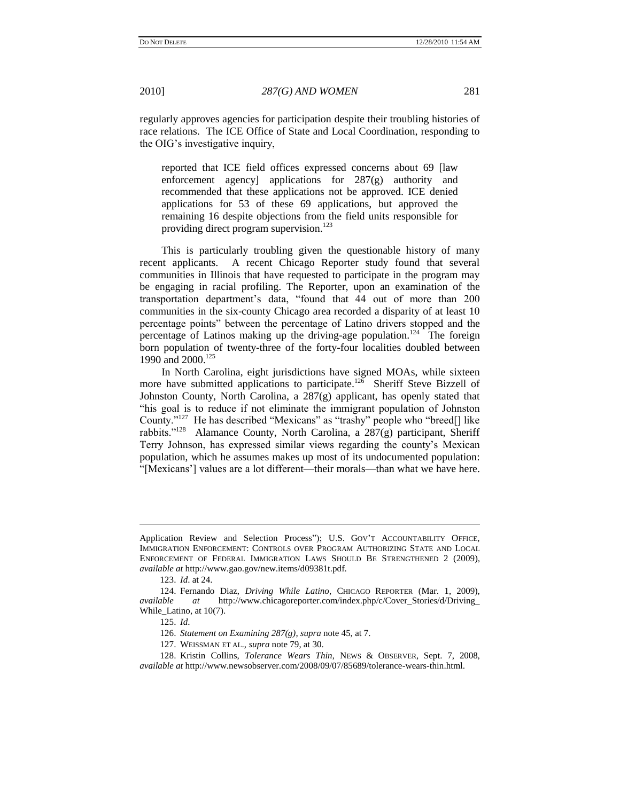regularly approves agencies for participation despite their troubling histories of race relations. The ICE Office of State and Local Coordination, responding to the OIG's investigative inquiry,

reported that ICE field offices expressed concerns about 69 [law enforcement agency] applications for 287(g) authority and recommended that these applications not be approved. ICE denied applications for 53 of these 69 applications, but approved the remaining 16 despite objections from the field units responsible for providing direct program supervision.<sup>123</sup>

This is particularly troubling given the questionable history of many recent applicants. A recent Chicago Reporter study found that several communities in Illinois that have requested to participate in the program may be engaging in racial profiling. The Reporter, upon an examination of the transportation department's data, "found that 44 out of more than 200 communities in the six-county Chicago area recorded a disparity of at least 10 percentage points‖ between the percentage of Latino drivers stopped and the percentage of Latinos making up the driving-age population.<sup>124</sup> The foreign born population of twenty-three of the forty-four localities doubled between 1990 and 2000.<sup>125</sup>

In North Carolina, eight jurisdictions have signed MOAs, while sixteen more have submitted applications to participate.<sup>126</sup> Sheriff Steve Bizzell of Johnston County, North Carolina, a 287(g) applicant, has openly stated that ―his goal is to reduce if not eliminate the immigrant population of Johnston County."<sup>127</sup> He has described "Mexicans" as "trashy" people who "breed[] like rabbits."<sup>128</sup> Alamance County, North Carolina, a  $287(g)$  participant, Sheriff Terry Johnson, has expressed similar views regarding the county's Mexican population, which he assumes makes up most of its undocumented population: ―[Mexicans'] values are a lot different—their morals—than what we have here.

Application Review and Selection Process"); U.S. GOV'T ACCOUNTABILITY OFFICE, IMMIGRATION ENFORCEMENT: CONTROLS OVER PROGRAM AUTHORIZING STATE AND LOCAL ENFORCEMENT OF FEDERAL IMMIGRATION LAWS SHOULD BE STRENGTHENED 2 (2009)*, available at* http://www.gao.gov/new.items/d09381t.pdf.

<sup>123.</sup> *Id*. at 24.

<sup>124.</sup> Fernando Diaz, *Driving While Latino*, CHICAGO REPORTER (Mar. 1, 2009), *available at* http://www.chicagoreporter.com/index.php/c/Cover\_Stories/d/Driving\_ While\_Latino, at 10(7).

<sup>125.</sup> *Id*.

<sup>126.</sup> *Statement on Examining 287(g)*, *supra* note 45, at 7.

<sup>127.</sup> WEISSMAN ET AL., *supra* note 79, at 30.

<sup>128.</sup> Kristin Collins, *Tolerance Wears Thin*, NEWS & OBSERVER, Sept. 7, 2008, *available at* http://www.newsobserver.com/2008/09/07/85689/tolerance-wears-thin.html.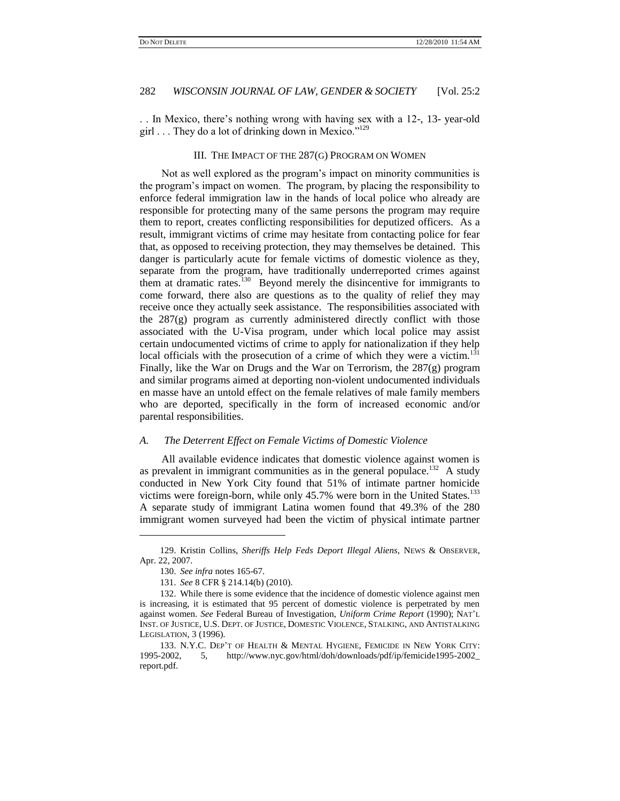. . In Mexico, there's nothing wrong with having sex with a 12-, 13- year-old girl . . . They do a lot of drinking down in Mexico." $129$ 

#### III. THE IMPACT OF THE 287(G) PROGRAM ON WOMEN

Not as well explored as the program's impact on minority communities is the program's impact on women. The program, by placing the responsibility to enforce federal immigration law in the hands of local police who already are responsible for protecting many of the same persons the program may require them to report, creates conflicting responsibilities for deputized officers. As a result, immigrant victims of crime may hesitate from contacting police for fear that, as opposed to receiving protection, they may themselves be detained. This danger is particularly acute for female victims of domestic violence as they, separate from the program, have traditionally underreported crimes against them at dramatic rates. $130$  Beyond merely the disincentive for immigrants to come forward, there also are questions as to the quality of relief they may receive once they actually seek assistance. The responsibilities associated with the  $287(g)$  program as currently administered directly conflict with those associated with the U-Visa program, under which local police may assist certain undocumented victims of crime to apply for nationalization if they help local officials with the prosecution of a crime of which they were a victim. $131$ Finally, like the War on Drugs and the War on Terrorism, the  $287(g)$  program and similar programs aimed at deporting non-violent undocumented individuals en masse have an untold effect on the female relatives of male family members who are deported, specifically in the form of increased economic and/or parental responsibilities.

#### *A. The Deterrent Effect on Female Victims of Domestic Violence*

All available evidence indicates that domestic violence against women is as prevalent in immigrant communities as in the general populace.<sup>132</sup> A study conducted in New York City found that 51% of intimate partner homicide victims were foreign-born, while only 45.7% were born in the United States.<sup>133</sup> A separate study of immigrant Latina women found that 49.3% of the 280 immigrant women surveyed had been the victim of physical intimate partner

<sup>129.</sup> Kristin Collins, *Sheriffs Help Feds Deport Illegal Aliens*, NEWS & OBSERVER, Apr. 22, 2007.

<sup>130.</sup> *See infra* notes 165-67.

<sup>131.</sup> *See* 8 CFR § 214.14(b) (2010).

<sup>132.</sup> While there is some evidence that the incidence of domestic violence against men is increasing, it is estimated that 95 percent of domestic violence is perpetrated by men against women. *See* Federal Bureau of Investigation, *Uniform Crime Report* (1990); NAT'L INST. OF JUSTICE, U.S. DEPT. OF JUSTICE, DOMESTIC VIOLENCE, STALKING, AND ANTISTALKING LEGISLATION, 3 (1996).

<sup>133.</sup> N.Y.C. DEP'T OF HEALTH & MENTAL HYGIENE, FEMICIDE IN NEW YORK CITY: 1995-2002, 5, [http://www.nyc.gov/html/doh/downloads/pdf/ip/femicide1995-2002\\_](http://www.nyc.gov/html/doh/downloads/pdf/ip/femicide1995-2002_report.pdf) [report.pdf.](http://www.nyc.gov/html/doh/downloads/pdf/ip/femicide1995-2002_report.pdf)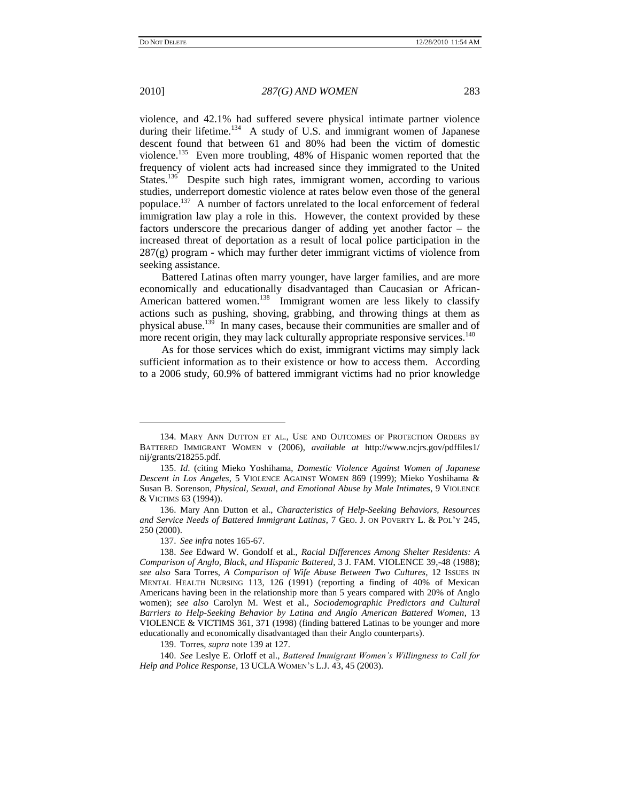$\overline{a}$ 

2010] *287(G) AND WOMEN* 283

violence, and 42.1% had suffered severe physical intimate partner violence during their lifetime.<sup>134</sup> A study of U.S. and immigrant women of Japanese descent found that between 61 and 80% had been the victim of domestic violence.<sup>135</sup> Even more troubling, 48% of Hispanic women reported that the frequency of violent acts had increased since they immigrated to the United States.<sup>136</sup> Despite such high rates, immigrant women, according to various studies, underreport domestic violence at rates below even those of the general populace.<sup>137</sup> A number of factors unrelated to the local enforcement of federal immigration law play a role in this. However, the context provided by these factors underscore the precarious danger of adding yet another factor – the increased threat of deportation as a result of local police participation in the  $287(g)$  program - which may further deter immigrant victims of violence from seeking assistance.

Battered Latinas often marry younger, have larger families, and are more economically and educationally disadvantaged than Caucasian or African-American battered women.<sup>138</sup> Immigrant women are less likely to classify actions such as pushing, shoving, grabbing, and throwing things at them as physical abuse.<sup>139</sup> In many cases, because their communities are smaller and of more recent origin, they may lack culturally appropriate responsive services.<sup>140</sup>

As for those services which do exist, immigrant victims may simply lack sufficient information as to their existence or how to access them. According to a 2006 study, 60.9% of battered immigrant victims had no prior knowledge

140. *See* Leslye E. Orloff et al., *Battered Immigrant Women"s Willingness to Call for Help and Police Response*, 13 UCLA WOMEN'S L.J. 43, 45 (2003).

<sup>134.</sup> MARY ANN DUTTON ET AL., USE AND OUTCOMES OF PROTECTION ORDERS BY BATTERED IMMIGRANT WOMEN v (2006), *available at* [http://www.ncjrs.gov/pdffiles1/](http://www.ncjrs.gov/pdffiles1/nij/grants/218255.pdf) [nij/grants/218255.pdf.](http://www.ncjrs.gov/pdffiles1/nij/grants/218255.pdf)

<sup>135.</sup> *Id*. (citing Mieko Yoshihama, *Domestic Violence Against Women of Japanese Descent in Los Angeles*, 5 VIOLENCE AGAINST WOMEN 869 (1999); Mieko Yoshihama & Susan B. Sorenson, *Physical, Sexual, and Emotional Abuse by Male Intimates*, 9 VIOLENCE & VICTIMS 63 (1994)).

<sup>136.</sup> Mary Ann Dutton et al., *Characteristics of Help-Seeking Behaviors, Resources and Service Needs of Battered Immigrant Latinas*, 7 GEO. J. ON POVERTY L. & POL'Y 245, 250 (2000).

<sup>137.</sup> *See infra* notes 165-67.

<sup>138.</sup> *See* Edward W. Gondolf et al., *Racial Differences Among Shelter Residents: A Comparison of Anglo, Black, and Hispanic Battered*, 3 J. FAM. VIOLENCE 39,-48 (1988); *see also* Sara Torres, *A Comparison of Wife Abuse Between Two Cultures*, 12 ISSUES IN MENTAL HEALTH NURSING 113, 126 (1991) (reporting a finding of 40% of Mexican Americans having been in the relationship more than 5 years compared with 20% of Anglo women); *see also* Carolyn M. West et al., *Sociodemographic Predictors and Cultural Barriers to Help-Seeking Behavior by Latina and Anglo American Battered Women*, 13 VIOLENCE & VICTIMS 361, 371 (1998) (finding battered Latinas to be younger and more educationally and economically disadvantaged than their Anglo counterparts).

<sup>139.</sup> Torres, *supra* note 139 at 127.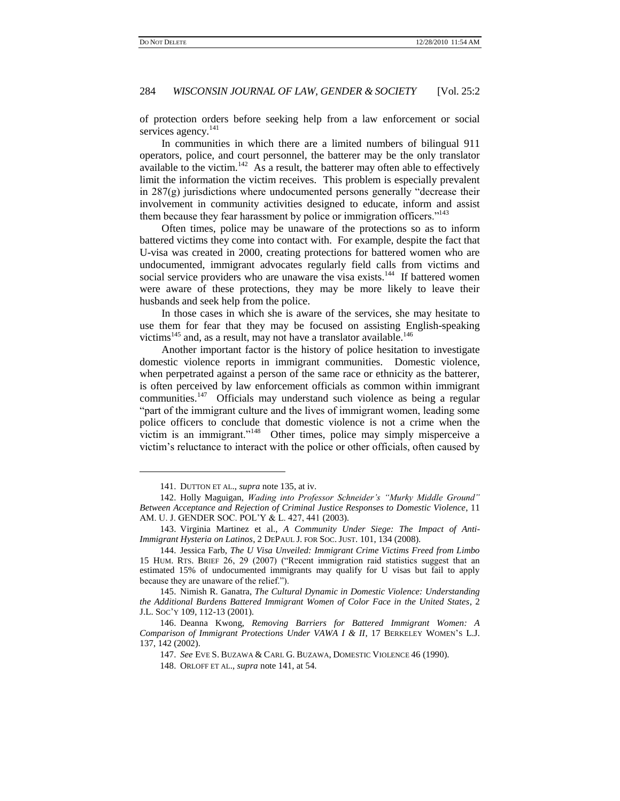of protection orders before seeking help from a law enforcement or social services agency.<sup>141</sup>

In communities in which there are a limited numbers of bilingual 911 operators, police, and court personnel, the batterer may be the only translator available to the victim.<sup>142</sup> As a result, the batterer may often able to effectively limit the information the victim receives. This problem is especially prevalent in  $287(g)$  jurisdictions where undocumented persons generally "decrease their involvement in community activities designed to educate, inform and assist them because they fear harassment by police or immigration officers."<sup>143</sup>

Often times, police may be unaware of the protections so as to inform battered victims they come into contact with. For example, despite the fact that U-visa was created in 2000, creating protections for battered women who are undocumented, immigrant advocates regularly field calls from victims and social service providers who are unaware the visa exists.<sup>144</sup> If battered women were aware of these protections, they may be more likely to leave their husbands and seek help from the police.

In those cases in which she is aware of the services, she may hesitate to use them for fear that they may be focused on assisting English-speaking victims<sup>145</sup> and, as a result, may not have a translator available.<sup>146</sup>

Another important factor is the history of police hesitation to investigate domestic violence reports in immigrant communities. Domestic violence, when perpetrated against a person of the same race or ethnicity as the batterer, is often perceived by law enforcement officials as common within immigrant communities.<sup>147</sup> Officials may understand such violence as being a regular "part of the immigrant culture and the lives of immigrant women, leading some police officers to conclude that domestic violence is not a crime when the victim is an immigrant."<sup>148</sup> Other times, police may simply misperceive a victim's reluctance to interact with the police or other officials, often caused by

<sup>141.</sup> DUTTON ET AL., *supra* note 135, at iv.

<sup>142.</sup> Holly Maguigan, *Wading into Professor Schneider"s "Murky Middle Ground" Between Acceptance and Rejection of Criminal Justice Responses to Domestic Violence*, [11](https://www.lexis.com/research/buttonTFLink?_m=4183994609fe2415c41e9f1484705b58&_xfercite=%3ccite%20cc%3d%22USA%22%3e%3c%21%5bCDATA%5b56%20Ala.%20L.%20Rev.%20557%5d%5d%3e%3c%2fcite%3e&_butType=3&_butStat=2&_butNum=194&_butInline=1&_butinfo=%3ccite%20cc%3d%22USA%22%3e%3c%21%5bCDATA%5b11%20Am.%20U.J.%20Gender%20Soc.%20Pol%27y%20%26%20L.%20427%2cat%20435%5d%5d%3e%3c%2fcite%3e&_fmtstr=FULL&docnum=1&_startdoc=1&wchp=dGLbVzz-zSkAl&_md5=9cfe265093778b42d4019045ba05eea3)  [AM. U. J. GENDER SOC. POL'Y & L. 427, 441](https://www.lexis.com/research/buttonTFLink?_m=4183994609fe2415c41e9f1484705b58&_xfercite=%3ccite%20cc%3d%22USA%22%3e%3c%21%5bCDATA%5b56%20Ala.%20L.%20Rev.%20557%5d%5d%3e%3c%2fcite%3e&_butType=3&_butStat=2&_butNum=194&_butInline=1&_butinfo=%3ccite%20cc%3d%22USA%22%3e%3c%21%5bCDATA%5b11%20Am.%20U.J.%20Gender%20Soc.%20Pol%27y%20%26%20L.%20427%2cat%20435%5d%5d%3e%3c%2fcite%3e&_fmtstr=FULL&docnum=1&_startdoc=1&wchp=dGLbVzz-zSkAl&_md5=9cfe265093778b42d4019045ba05eea3) (2003).

<sup>143.</sup> Virginia Martinez et al., *A Community Under Siege: The Impact of Anti-Immigrant Hysteria on Latinos*, 2 DEPAUL J. FOR SOC. JUST. 101, 134 (2008).

<sup>144.</sup> Jessica Farb, *The U Visa Unveiled: Immigrant Crime Victims Freed from Limbo* 15 HUM. RTS. BRIEF 26, 29 (2007) ("Recent immigration raid statistics suggest that an estimated 15% of undocumented immigrants may qualify for U visas but fail to apply because they are unaware of the relief.").

<sup>145.</sup> Nimish R. Ganatra, *The Cultural Dynamic in Domestic Violence: Understanding the Additional Burdens Battered Immigrant Women of Color Face in the United States*, 2 J.L. SOC'Y 109, 112-13 (2001).

<sup>146.</sup> Deanna Kwong, *Removing Barriers for Battered Immigrant Women: A Comparison of Immigrant Protections Under VAWA I & II*, 17 BERKELEY WOMEN'S L.J. 137, 142 (2002).

<sup>147.</sup> *See* EVE S. BUZAWA & CARL G. BUZAWA, DOMESTIC VIOLENCE 46 (1990).

<sup>148.</sup> ORLOFF ET AL.*, supra* note 141, at 54.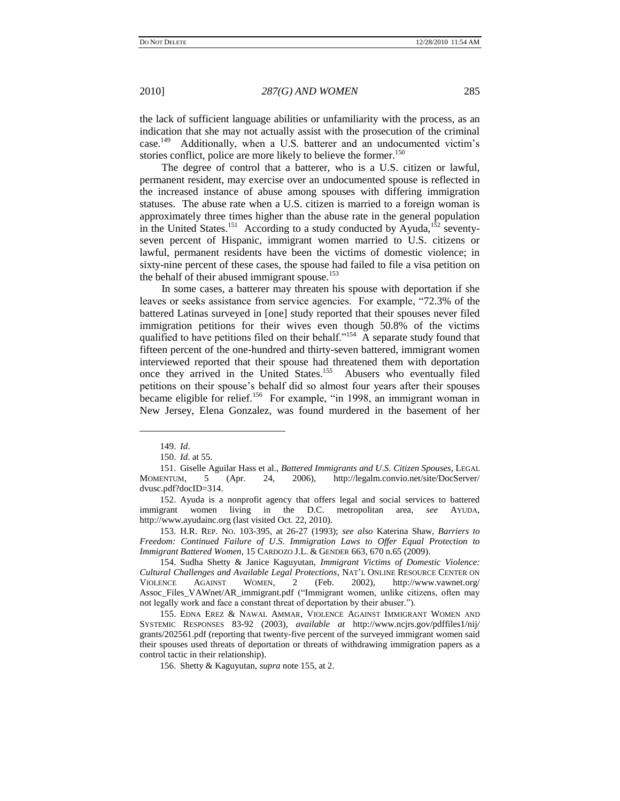the lack of sufficient language abilities or unfamiliarity with the process, as an indication that she may not actually assist with the prosecution of the criminal case.<sup>149</sup> Additionally, when a U.S. batterer and an undocumented victim's stories conflict, police are more likely to believe the former.<sup>150</sup>

The degree of control that a batterer, who is a U.S. citizen or lawful, permanent resident, may exercise over an undocumented spouse is reflected in the increased instance of abuse among spouses with differing immigration statuses. The abuse rate when a U.S. citizen is married to a foreign woman is approximately three times higher than the abuse rate in the general population in the United States.<sup>151</sup> According to a study conducted by Ayuda,<sup>152</sup> seventyseven percent of Hispanic, immigrant women married to U.S. citizens or lawful, permanent residents have been the victims of domestic violence; in sixty-nine percent of these cases, the spouse had failed to file a visa petition on the behalf of their abused immigrant spouse.<sup>153</sup>

In some cases, a batterer may threaten his spouse with deportation if she leaves or seeks assistance from service agencies. For example, "72.3% of the battered Latinas surveyed in [one] study reported that their spouses never filed immigration petitions for their wives even though 50.8% of the victims qualified to have petitions filed on their behalf."<sup>154</sup> A separate study found that fifteen percent of the one-hundred and thirty-seven battered, immigrant women interviewed reported that their spouse had threatened them with deportation once they arrived in the United States.<sup>155</sup> Abusers who eventually filed petitions on their spouse's behalf did so almost four years after their spouses became eligible for relief.<sup>156</sup> For example, "in 1998, an immigrant woman in New Jersey, Elena Gonzalez, was found murdered in the basement of her

 $\overline{a}$ 

153. H.R. REP. NO. 103-395, at 26-27 (1993); *see also* Katerina Shaw, *Barriers to Freedom: Continued Failure of U*.*S*. *Immigration Laws to Offer Equal Protection to Immigrant Battered Women*, 15 CARDOZO J.L. & GENDER 663, 670 n.65 (2009).

154. Sudha Shetty & Janice Kaguyutan, *Immigrant Victims of Domestic Violence: Cultural Challenges and Available Legal Protections*, NAT'L ONLINE RESOURCE CENTER ON VIOLENCE AGAINST WOMEN, 2 (Feb. 2002), http://www.vawnet.org/ 2 (Feb. 2002), http://www.vawnet.org/ Assoc\_Files\_VAWnet/AR\_immigrant.pdf ("Immigrant women, unlike citizens, often may not legally work and face a constant threat of deportation by their abuser.").

<sup>149.</sup> *Id*.

<sup>150.</sup> *Id*. at 55.

<sup>151.</sup> Giselle Aguilar Hass et al., *Battered Immigrants and U*.*S*. *Citizen Spouses*, LEGAL MOMENTUM*,* 5 (Apr. 24, 2006), http://legalm.convio.net/site/DocServer/ dvusc.pdf?docID=314.

<sup>152.</sup> Ayuda is a nonprofit agency that offers legal and social services to battered immigrant women living in the D.C. metropolitan area, *see* AYUDA, [http://www.ayudainc.org](http://www.ayudainc.org/) (last visited Oct. 22, 2010).

<sup>155.</sup> EDNA EREZ & NAWAL AMMAR, VIOLENCE AGAINST IMMIGRANT WOMEN AND SYSTEMIC RESPONSES 83-92 (2003), *available at* [http://www.ncjrs.gov/pdffiles1/nij/](http://www.ncjrs.gov/pdffiles1/nij/grants/202561.pdf) [grants/202561.pdf](http://www.ncjrs.gov/pdffiles1/nij/grants/202561.pdf) (reporting that twenty-five percent of the surveyed immigrant women said their spouses used threats of deportation or threats of withdrawing immigration papers as a control tactic in their relationship).

<sup>156.</sup> Shetty & Kaguyutan, *supra* note 155, at 2.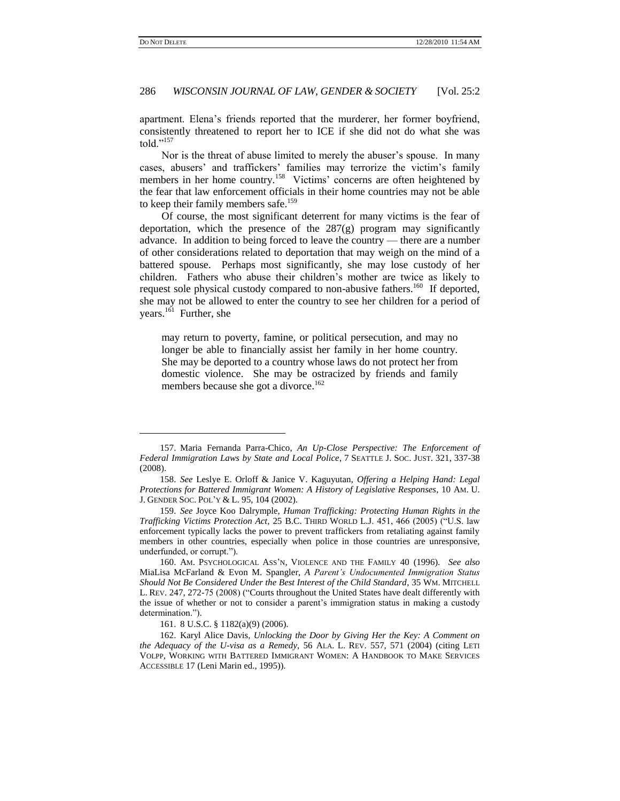l

#### 286 *WISCONSIN JOURNAL OF LAW, GENDER & SOCIETY* [Vol. 25:2

apartment. Elena's friends reported that the murderer, her former boyfriend, consistently threatened to report her to ICE if she did not do what she was told." $157$ 

Nor is the threat of abuse limited to merely the abuser's spouse. In many cases, abusers' and traffickers' families may terrorize the victim's family members in her home country.<sup>158</sup> Victims' concerns are often heightened by the fear that law enforcement officials in their home countries may not be able to keep their family members safe.<sup>159</sup>

Of course, the most significant deterrent for many victims is the fear of deportation, which the presence of the 287(g) program may significantly advance. In addition to being forced to leave the country — there are a number of other considerations related to deportation that may weigh on the mind of a battered spouse. Perhaps most significantly, she may lose custody of her children. Fathers who abuse their children's mother are twice as likely to request sole physical custody compared to non-abusive fathers.<sup>160</sup> If deported, she may not be allowed to enter the country to see her children for a period of years.<sup>161</sup> Further, she

may return to poverty, famine, or political persecution, and may no longer be able to financially assist her family in her home country. She may be deported to a country whose laws do not protect her from domestic violence. She may be ostracized by friends and family members because she got a divorce.<sup>162</sup>

<sup>157.</sup> Maria Fernanda Parra-Chico, *An Up-Close Perspective: The Enforcement of Federal Immigration Laws by State and Local Police*, 7 SEATTLE J. SOC. JUST. 321, 337-38 (2008).

<sup>158.</sup> *See* Leslye E. Orloff & Janice V. Kaguyutan, *Offering a Helping Hand: Legal Protections for Battered Immigrant Women: A History of Legislative Responses*, 10 AM. U. J. GENDER SOC. POL'Y & L. 95, 104 (2002).

<sup>159.</sup> *See* Joyce Koo Dalrymple, *Human Trafficking: Protecting Human Rights in the Trafficking Victims Protection Act, 25 B.C. THIRD WORLD L.J. 451, 466 (2005)* ("U.S. law enforcement typically lacks the power to prevent traffickers from retaliating against family members in other countries, especially when police in those countries are unresponsive, underfunded, or corrupt.").

<sup>160.</sup> AM. PSYCHOLOGICAL ASS'N, VIOLENCE AND THE FAMILY 40 (1996). *See also* MiaLisa McFarland & Evon M. Spangler, *A Parent"s Undocumented Immigration Status Should Not Be Considered Under the Best Interest of the Child Standard*, 35 WM. MITCHELL L. REV. 247, 272-75 (2008) ("Courts throughout the United States have dealt differently with the issue of whether or not to consider a parent's immigration status in making a custody determination.").

<sup>161.</sup> 8 U.S.C. § 1182(a)(9) (2006).

<sup>162.</sup> Karyl Alice Davis, *Unlocking the Door by Giving Her the Key: A Comment on the Adequacy of the U-visa as a Remedy*, 56 ALA. L. REV. 557, 571 (2004) (citing LETI VOLPP, WORKING WITH BATTERED IMMIGRANT WOMEN: A HANDBOOK TO MAKE SERVICES ACCESSIBLE 17 (Leni Marin ed., 1995)).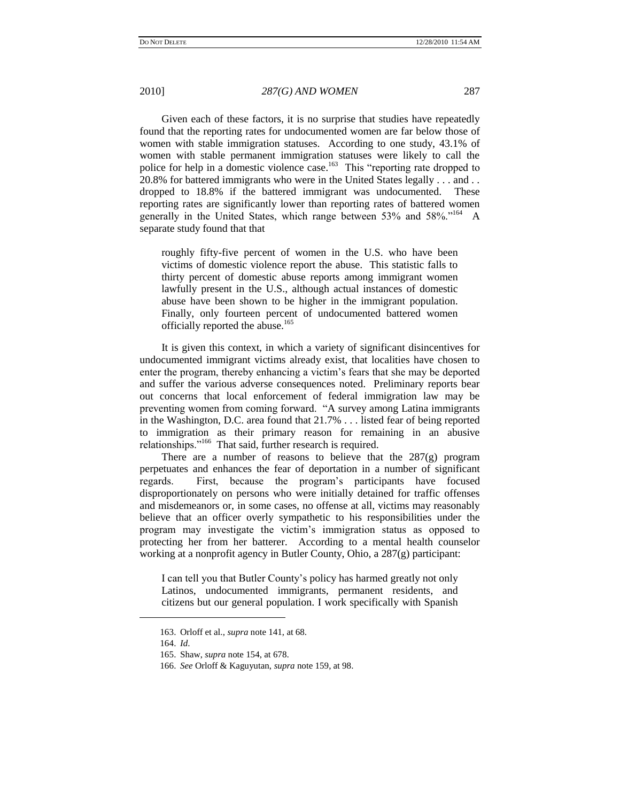Given each of these factors, it is no surprise that studies have repeatedly found that the reporting rates for undocumented women are far below those of women with stable immigration statuses. According to one study, 43.1% of women with stable permanent immigration statuses were likely to call the police for help in a domestic violence case.<sup>163</sup> This "reporting rate dropped to 20.8% for battered immigrants who were in the United States legally . . . and . . dropped to 18.8% if the battered immigrant was undocumented. These reporting rates are significantly lower than reporting rates of battered women generally in the United States, which range between 53% and 58%."<sup>164</sup> A separate study found that that

roughly fifty-five percent of women in the U.S. who have been victims of domestic violence report the abuse. This statistic falls to thirty percent of domestic abuse reports among immigrant women lawfully present in the U.S., although actual instances of domestic abuse have been shown to be higher in the immigrant population. Finally, only fourteen percent of undocumented battered women officially reported the abuse.<sup>165</sup>

It is given this context, in which a variety of significant disincentives for undocumented immigrant victims already exist, that localities have chosen to enter the program, thereby enhancing a victim's fears that she may be deported and suffer the various adverse consequences noted. Preliminary reports bear out concerns that local enforcement of federal immigration law may be preventing women from coming forward. ―A survey among Latina immigrants in the Washington, D.C. area found that 21.7% . . . listed fear of being reported to immigration as their primary reason for remaining in an abusive relationships."<sup>166</sup> That said, further research is required.

There are a number of reasons to believe that the  $287(g)$  program perpetuates and enhances the fear of deportation in a number of significant regards. First, because the program's participants have focused disproportionately on persons who were initially detained for traffic offenses and misdemeanors or, in some cases, no offense at all, victims may reasonably believe that an officer overly sympathetic to his responsibilities under the program may investigate the victim's immigration status as opposed to protecting her from her batterer. According to a mental health counselor working at a nonprofit agency in Butler County, Ohio, a 287(g) participant:

I can tell you that Butler County's policy has harmed greatly not only Latinos, undocumented immigrants, permanent residents, and citizens but our general population. I work specifically with Spanish

<sup>163.</sup> Orloff et al., *supra* note 141, at 68.

<sup>164.</sup> *Id*.

<sup>165.</sup> Shaw, *supra* note 154, at 678.

<sup>166.</sup> *See* Orloff & Kaguyutan, *supra* note 159, at 98.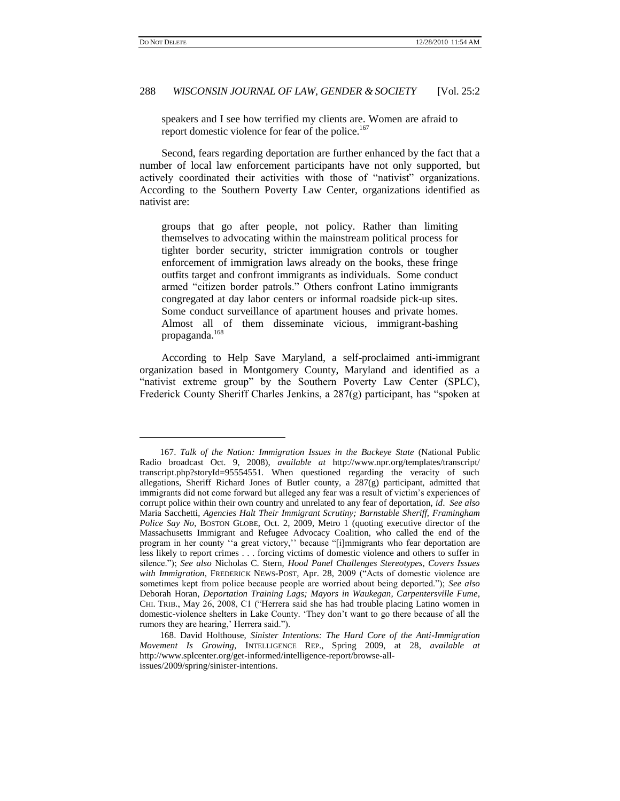$\overline{a}$ 

## 288 *WISCONSIN JOURNAL OF LAW, GENDER & SOCIETY* [Vol. 25:2

speakers and I see how terrified my clients are. Women are afraid to report domestic violence for fear of the police.<sup>167</sup>

Second, fears regarding deportation are further enhanced by the fact that a number of local law enforcement participants have not only supported, but actively coordinated their activities with those of "nativist" organizations. According to the Southern Poverty Law Center, organizations identified as nativist are:

groups that go after people, not policy. Rather than limiting themselves to advocating within the mainstream political process for tighter border security, stricter immigration controls or tougher enforcement of immigration laws already on the books, these fringe outfits target and confront immigrants as individuals. Some conduct armed "citizen border patrols." Others confront Latino immigrants congregated at day labor centers or informal roadside pick-up sites. Some conduct surveillance of apartment houses and private homes. Almost all of them disseminate vicious, immigrant-bashing propaganda.<sup>168</sup>

According to Help Save Maryland, a self-proclaimed anti-immigrant organization based in Montgomery County, Maryland and identified as a ―nativist extreme group‖ by the Southern Poverty Law Center (SPLC), Frederick County Sheriff Charles Jenkins, a 287(g) participant, has "spoken at

<sup>167.</sup> *Talk of the Nation: Immigration Issues in the Buckeye State* (National Public Radio broadcast Oct. 9, 2008), *available at* http://www.npr.org/templates/transcript/ transcript.php?storyId=95554551. When questioned regarding the veracity of such allegations, Sheriff Richard Jones of Butler county, a 287(g) participant, admitted that immigrants did not come forward but alleged any fear was a result of victim's experiences of corrupt police within their own country and unrelated to any fear of deportation, *id*. *See also*  Maria Sacchetti, *Agencies Halt Their Immigrant Scrutiny; Barnstable Sheriff, Framingham Police Say No*, BOSTON GLOBE, Oct. 2, 2009, Metro 1 (quoting executive director of the Massachusetts Immigrant and Refugee Advocacy Coalition, who called the end of the program in her county "a great victory," because "[i]mmigrants who fear deportation are less likely to report crimes . . . forcing victims of domestic violence and others to suffer in silence.‖); *See also* Nicholas C. Stern, *Hood Panel Challenges Stereotypes, Covers Issues with Immigration*, FREDERICK NEWS-POST, Apr. 28, 2009 ("Acts of domestic violence are sometimes kept from police because people are worried about being deported."); *See also* Deborah Horan, *Deportation Training Lags; Mayors in Waukegan, Carpentersville Fume*, CHI. TRIB., May 26, 2008, C1 ("Herrera said she has had trouble placing Latino women in domestic-violence shelters in Lake County. ‗They don't want to go there because of all the rumors they are hearing,' Herrera said.").

<sup>168.</sup> David Holthouse, *Sinister Intentions: The Hard Core of the Anti-Immigration Movement Is Growing,* INTELLIGENCE REP., Spring 2009, at 28, *available at* http://www.splcenter.org/get-informed/intelligence-report/browse-allissues/2009/spring/sinister-intentions.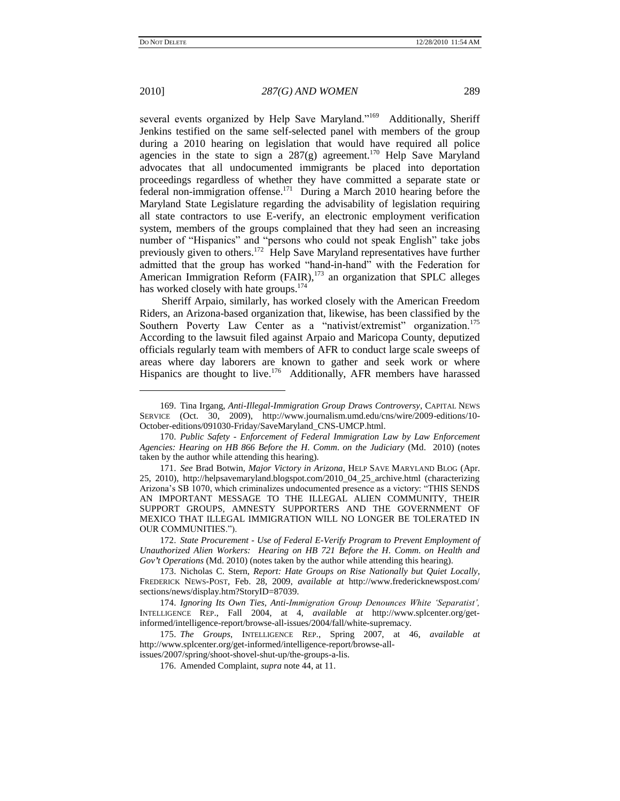l

#### 2010] *287(G) AND WOMEN* 289

several events organized by Help Save Maryland."<sup>169</sup> Additionally, Sheriff Jenkins testified on the same self-selected panel with members of the group during a 2010 hearing on legislation that would have required all police agencies in the state to sign a  $287(g)$  agreement.<sup>170</sup> Help Save Maryland advocates that all undocumented immigrants be placed into deportation proceedings regardless of whether they have committed a separate state or federal non-immigration offense.<sup>171</sup> During a March 2010 hearing before the Maryland State Legislature regarding the advisability of legislation requiring all state contractors to use E-verify, an electronic employment verification system, members of the groups complained that they had seen an increasing number of "Hispanics" and "persons who could not speak English" take jobs previously given to others.<sup>172</sup> Help Save Maryland representatives have further admitted that the group has worked "hand-in-hand" with the Federation for American Immigration Reform (FAIR),<sup>173</sup> an organization that SPLC alleges has worked closely with hate groups.<sup>174</sup>

Sheriff Arpaio, similarly, has worked closely with the American Freedom Riders, an Arizona-based organization that, likewise, has been classified by the Southern Poverty Law Center as a "nativist/extremist" organization.<sup>175</sup> According to the lawsuit filed against Arpaio and Maricopa County, deputized officials regularly team with members of AFR to conduct large scale sweeps of areas where day laborers are known to gather and seek work or where Hispanics are thought to live.<sup>176</sup> Additionally, AFR members have harassed

<sup>169.</sup> Tina Irgang, *Anti-Illegal-Immigration Group Draws Controversy*, CAPITAL NEWS SERVICE (Oct. 30, 2009), http://www.journalism.umd.edu/cns/wire/2009-editions/10- October-editions/091030-Friday/SaveMaryland\_CNS-UMCP.html.

<sup>170.</sup> *Public Safety - Enforcement of Federal Immigration Law by Law Enforcement Agencies: Hearing on HB 866 Before the H*. *Comm*. *on the Judiciary* (Md. 2010) (notes taken by the author while attending this hearing).

<sup>171.</sup> *See* Brad Botwin, *Major Victory in Arizona*, HELP SAVE MARYLAND BLOG (Apr. 25, 2010), http://helpsavemaryland.blogspot.com/2010\_04\_25\_archive.html (characterizing Arizona's SB 1070, which criminalizes undocumented presence as a victory: "THIS SENDS AN IMPORTANT MESSAGE TO THE ILLEGAL ALIEN COMMUNITY, THEIR SUPPORT GROUPS, AMNESTY SUPPORTERS AND THE GOVERNMENT OF MEXICO THAT ILLEGAL IMMIGRATION WILL NO LONGER BE TOLERATED IN OUR COMMUNITIES.").

<sup>172.</sup> *State Procurement - Use of Federal E-Verify Program to Prevent Employment of Unauthorized Alien Workers: Hearing on HB 721 Before the H*. *Comm*. *on Health and Gov't Operations* (Md. 2010) (notes taken by the author while attending this hearing).

<sup>173.</sup> Nicholas C. Stern, *Report: Hate Groups on Rise Nationally but Quiet Locally*, FREDERICK NEWS-POST, Feb. 28, 2009, *available at* http://www.fredericknewspost.com/ sections/news/display.htm?StoryID=87039.

<sup>174.</sup> *Ignoring Its Own Ties, Anti-Immigration Group Denounces White "Separatist",*  INTELLIGENCE REP., Fall 2004, at 4, *available at* http://www.splcenter.org/getinformed/intelligence-report/browse-all-issues/2004/fall/white-supremacy.

<sup>175.</sup> *The Groups*, INTELLIGENCE REP., Spring 2007, at 46, *available at* http://www.splcenter.org/get-informed/intelligence-report/browse-all-

issues/2007/spring/shoot-shovel-shut-up/the-groups-a-lis.

<sup>176.</sup> Amended Complaint, *supra* note 44, at 11.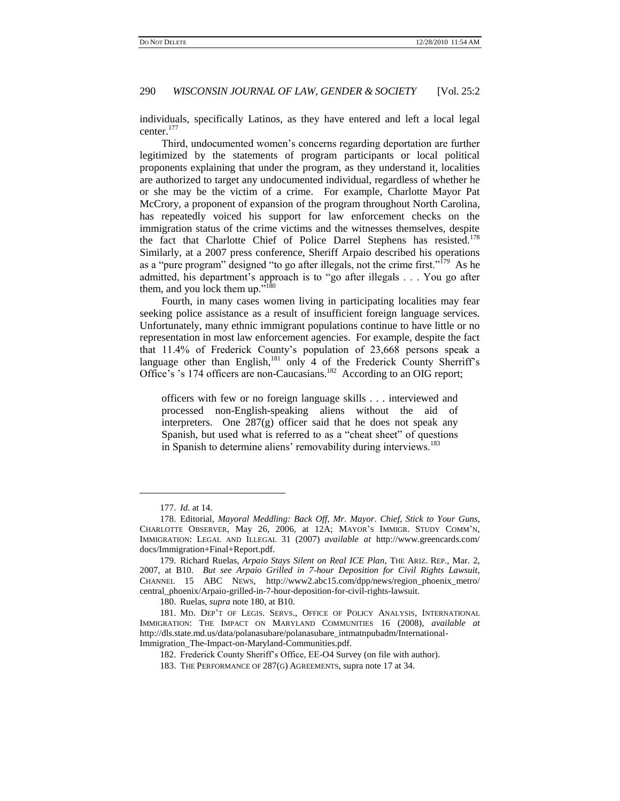individuals, specifically Latinos, as they have entered and left a local legal center.<sup>177</sup>

Third, undocumented women's concerns regarding deportation are further legitimized by the statements of program participants or local political proponents explaining that under the program, as they understand it, localities are authorized to target any undocumented individual, regardless of whether he or she may be the victim of a crime. For example, Charlotte Mayor Pat McCrory, a proponent of expansion of the program throughout North Carolina, has repeatedly voiced his support for law enforcement checks on the immigration status of the crime victims and the witnesses themselves, despite the fact that Charlotte Chief of Police Darrel Stephens has resisted.<sup>178</sup> Similarly, at a 2007 press conference, Sheriff Arpaio described his operations as a "pure program" designed "to go after illegals, not the crime first."<sup>179</sup> As he admitted, his department's approach is to "go after illegals . . . You go after them, and you lock them up. $180$ 

Fourth, in many cases women living in participating localities may fear seeking police assistance as a result of insufficient foreign language services. Unfortunately, many ethnic immigrant populations continue to have little or no representation in most law enforcement agencies. For example, despite the fact that 11.4% of Frederick County's population of 23,668 persons speak a language other than English,<sup>181</sup> only 4 of the Frederick County Sherriff's Office's 's 174 officers are non-Caucasians.<sup>182</sup> According to an OIG report;

officers with few or no foreign language skills . . . interviewed and processed non-English-speaking aliens without the aid of interpreters. One 287(g) officer said that he does not speak any Spanish, but used what is referred to as a "cheat sheet" of questions in Spanish to determine aliens' removability during interviews.<sup>183</sup>

<sup>177.</sup> *Id*. at 14.

<sup>178.</sup> Editorial, *Mayoral Meddling: Back Off, Mr*. *Mayor*. *Chief, Stick to Your Guns*, CHARLOTTE OBSERVER, May 26, 2006, at 12A; MAYOR'S IMMIGR. STUDY COMM'N, IMMIGRATION: LEGAL AND ILLEGAL 31 (2007) *available at* http://www.greencards.com/ docs/Immigration+Final+Report.pdf.

<sup>179.</sup> Richard Ruelas, *Arpaio Stays Silent on Real ICE Plan*, THE ARIZ. REP.*,* Mar. 2, 2007, at B10. *But see Arpaio Grilled in 7-hour Deposition for Civil Rights Lawsuit*, CHANNEL 15 ABC NEWS, http://www2.abc15.com/dpp/news/region\_phoenix\_metro/ central\_phoenix/Arpaio-grilled-in-7-hour-deposition-for-civil-rights-lawsuit.

<sup>180.</sup> Ruelas, *supra* note 180, at B10.

<sup>181.</sup> MD. DEP'T OF LEGIS. SERVS., OFFICE OF POLICY ANALYSIS, INTERNATIONAL IMMIGRATION: THE IMPACT ON MARYLAND COMMUNITIES 16 (2008), *available at*  http://dls.state.md.us/data/polanasubare/polanasubare\_intmatnpubadm/International-Immigration\_The-Impact-on-Maryland-Communities.pdf.

<sup>182.</sup> Frederick County Sheriff's Office, EE-O4 Survey (on file with author).

<sup>183.</sup> THE PERFORMANCE OF 287(G) AGREEMENTS, supra note 17 at 34.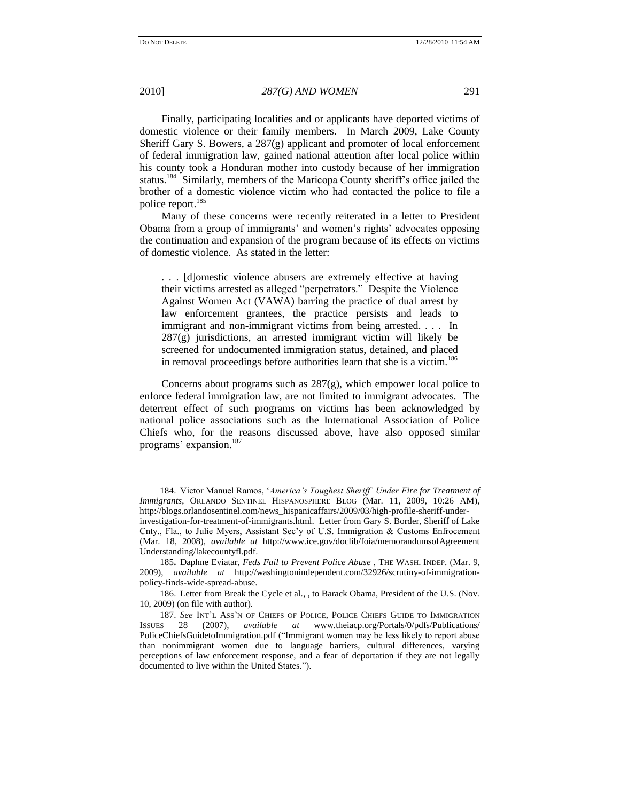l

2010] *287(G) AND WOMEN* 291

Finally, participating localities and or applicants have deported victims of domestic violence or their family members. In March 2009, Lake County Sheriff Gary S. Bowers, a 287(g) applicant and promoter of local enforcement of federal immigration law, gained national attention after local police within his county took a Honduran mother into custody because of her immigration status.<sup>184</sup> Similarly, members of the Maricopa County sheriff's office jailed the brother of a domestic violence victim who had contacted the police to file a police report.<sup>185</sup>

Many of these concerns were recently reiterated in a letter to President Obama from a group of immigrants' and women's rights' advocates opposing the continuation and expansion of the program because of its effects on victims of domestic violence. As stated in the letter:

. . . [d]omestic violence abusers are extremely effective at having their victims arrested as alleged "perpetrators." Despite the Violence Against Women Act (VAWA) barring the practice of dual arrest by law enforcement grantees, the practice persists and leads to immigrant and non-immigrant victims from being arrested. . . . In 287(g) jurisdictions, an arrested immigrant victim will likely be screened for undocumented immigration status, detained, and placed in removal proceedings before authorities learn that she is a victim.<sup>186</sup>

Concerns about programs such as 287(g), which empower local police to enforce federal immigration law, are not limited to immigrant advocates. The deterrent effect of such programs on victims has been acknowledged by national police associations such as the International Association of Police Chiefs who, for the reasons discussed above, have also opposed similar programs' expansion.<sup>187</sup>

<sup>184.</sup> Victor Manuel Ramos, ‗*America"s Toughest Sheriff" Under Fire for Treatment of Immigrants*, ORLANDO SENTINEL HISPANOSPHERE BLOG (Mar. 11, 2009, 10:26 AM), [http://blogs.orlandosentinel.com/news\\_hispanicaffairs/2009/03/high-profile-sheriff-under](http://blogs.orlandosentinel.com/news_hispanicaffairs/2009/03/high-profile-sheriff-under-investigation-for-treatment-of-immigrants.html)[investigation-for-treatment-of-immigrants.html.](http://blogs.orlandosentinel.com/news_hispanicaffairs/2009/03/high-profile-sheriff-under-investigation-for-treatment-of-immigrants.html) Letter from Gary S. Border, Sheriff of Lake Cnty., Fla., to Julie Myers, Assistant Sec'y of U.S. Immigration & Customs Enfrocement (Mar. 18, 2008), *available at* http://www.ice.gov/doclib/foia/memorandumsofAgreement Understanding/lakecountyfl.pdf.

<sup>185</sup>**.** Daphne Eviatar, *[Feds Fail to Prevent Police Abuse](http://washingtonindependent.com/32926/scrutiny-of-immigration-policy-finds-wide-spread-abuse)* , THE WASH. INDEP. (Mar. 9, 2009), *available at* http://washingtonindependent.com/32926/scrutiny-of-immigrationpolicy-finds-wide-spread-abuse.

<sup>186.</sup> Letter from Break the Cycle et al., , to Barack Obama, President of the U.S. (Nov. 10, 2009) (on file with author).

<sup>187.</sup> *See* INT'L ASS'N OF CHIEFS OF POLICE, POLICE CHIEFS GUIDE TO IMMIGRATION  $\frac{187}{28}$  (2007), *available at* www.theiacp.org/Portals/0/pdfs/Publications/ ISSUES 28 (2007), *available at* www.theiacp.org/Portals/0/pdfs/Publications/ PoliceChiefsGuidetoImmigration.pdf ("Immigrant women may be less likely to report abuse than nonimmigrant women due to language barriers, cultural differences, varying perceptions of law enforcement response, and a fear of deportation if they are not legally documented to live within the United States.").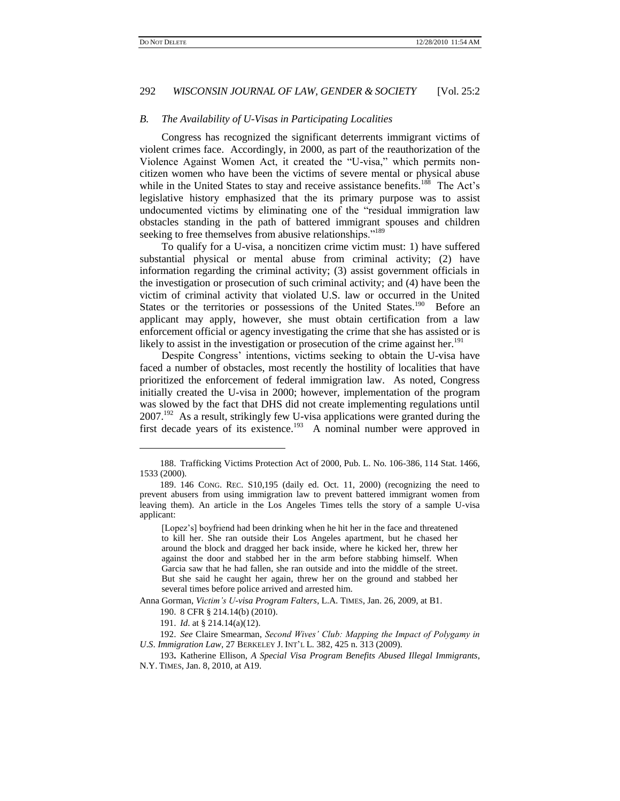l

## 292 *WISCONSIN JOURNAL OF LAW, GENDER & SOCIETY* [Vol. 25:2

#### *B. The Availability of U-Visas in Participating Localities*

Congress has recognized the significant deterrents immigrant victims of violent crimes face. Accordingly, in 2000, as part of the reauthorization of the Violence Against Women Act, it created the "U-visa," which permits noncitizen women who have been the victims of severe mental or physical abuse while in the United States to stay and receive assistance benefits.<sup>188</sup> The Act's legislative history emphasized that the its primary purpose was to assist undocumented victims by eliminating one of the "residual immigration law obstacles standing in the path of battered immigrant spouses and children seeking to free themselves from abusive relationships."<sup>189</sup>

To qualify for a U-visa, a noncitizen crime victim must: 1) have suffered substantial physical or mental abuse from criminal activity; (2) have information regarding the criminal activity; (3) assist government officials in the investigation or prosecution of such criminal activity; and (4) have been the victim of criminal activity that violated U.S. law or occurred in the United States or the territories or possessions of the United States.<sup>190</sup> Before an applicant may apply, however, she must obtain certification from a law enforcement official or agency investigating the crime that she has assisted or is likely to assist in the investigation or prosecution of the crime against her.<sup>191</sup>

Despite Congress' intentions, victims seeking to obtain the U-visa have faced a number of obstacles, most recently the hostility of localities that have prioritized the enforcement of federal immigration law. As noted, Congress initially created the U-visa in 2000; however, implementation of the program was slowed by the fact that DHS did not create implementing regulations until  $2007$ <sup>192</sup> As a result, strikingly few U-visa applications were granted during the first decade years of its existence.<sup>193</sup> A nominal number were approved in

Anna Gorman, *Victim"s U-visa Program Falters*, L.A. TIMES, Jan. 26, 2009, at B1.

<sup>188.</sup> Trafficking Victims Protection Act of 2000, Pub. L. No. 106-386, 114 Stat. 1466, 1533 (2000).

<sup>189.</sup> 146 CONG. REC. S10,195 (daily ed. Oct. 11, 2000) (recognizing the need to prevent abusers from using immigration law to prevent battered immigrant women from leaving them). An article in the Los Angeles Times tells the story of a sample U-visa applicant:

<sup>[</sup>Lopez's] boyfriend had been drinking when he hit her in the face and threatened to kill her. She ran outside their Los Angeles apartment, but he chased her around the block and dragged her back inside, where he kicked her, threw her against the door and stabbed her in the arm before stabbing himself. When Garcia saw that he had fallen, she ran outside and into the middle of the street. But she said he caught her again, threw her on the ground and stabbed her several times before police arrived and arrested him.

<sup>190.</sup> 8 CFR § 214.14(b) (2010).

<sup>191.</sup> *Id*. at § 214.14(a)(12).

<sup>192.</sup> *See* Claire Smearman, *Second Wives" Club: Mapping the Impact of Polygamy in U*.*S*. *Immigration Law*, 27 BERKELEY J. INT'L L. 382, 425 n. 313 (2009).

<sup>193</sup>**.** Katherine Ellison, *A Special Visa Program Benefits Abused Illegal Immigrants*, N.Y. TIMES, Jan. 8, 2010, at A19.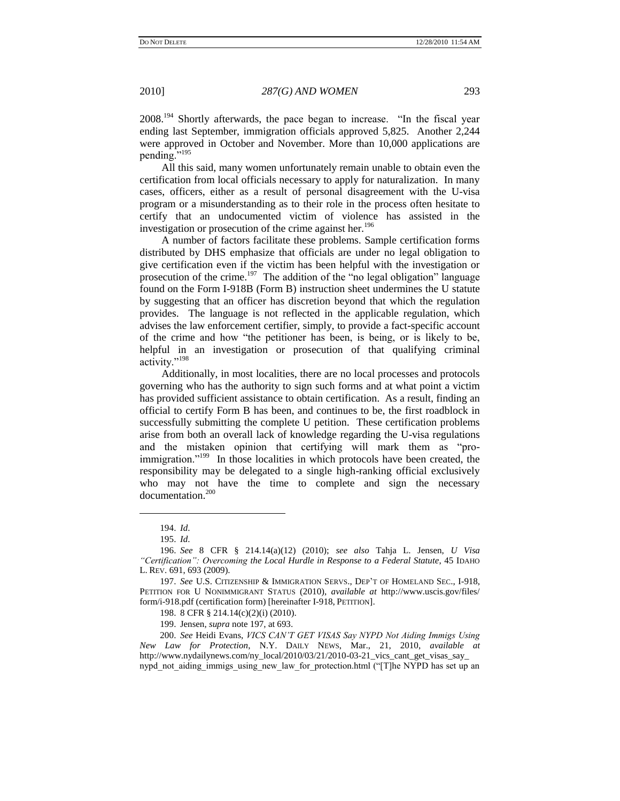$2008.<sup>194</sup>$  Shortly afterwards, the pace began to increase. "In the fiscal year ending last September, immigration officials approved 5,825. Another 2,244 were approved in October and November. More than 10,000 applications are pending."<sup>195</sup>

All this said, many women unfortunately remain unable to obtain even the certification from local officials necessary to apply for naturalization. In many cases, officers, either as a result of personal disagreement with the U-visa program or a misunderstanding as to their role in the process often hesitate to certify that an undocumented victim of violence has assisted in the investigation or prosecution of the crime against her.<sup>196</sup>

A number of factors facilitate these problems. Sample certification forms distributed by DHS emphasize that officials are under no legal obligation to give certification even if the victim has been helpful with the investigation or prosecution of the crime.<sup>197</sup> The addition of the "no legal obligation" language found on the Form I-918B (Form B) instruction sheet undermines the U statute by suggesting that an officer has discretion beyond that which the regulation provides. The language is not reflected in the applicable regulation, which advises the law enforcement certifier, simply, to provide a fact-specific account of the crime and how "the petitioner has been, is being, or is likely to be, helpful in an investigation or prosecution of that qualifying criminal activity."<sup>198</sup>

Additionally, in most localities, there are no local processes and protocols governing who has the authority to sign such forms and at what point a victim has provided sufficient assistance to obtain certification. As a result, finding an official to certify Form B has been, and continues to be, the first roadblock in successfully submitting the complete U petition. These certification problems arise from both an overall lack of knowledge regarding the U-visa regulations and the mistaken opinion that certifying will mark them as "proimmigration."<sup>199</sup> In those localities in which protocols have been created, the responsibility may be delegated to a single high-ranking official exclusively who may not have the time to complete and sign the necessary documentation.<sup>200</sup>

 $\overline{\phantom{a}}$ 

<sup>194.</sup> *Id*.

<sup>195.</sup> *Id*.

<sup>196.</sup> *See* 8 CFR § 214.14(a)(12) (2010); *see also* Tahja L. Jensen, *U Visa "Certification": Overcoming the Local Hurdle in Response to a Federal Statute*, 45 IDAHO L. REV. 691, 693 (2009).

<sup>197.</sup> *See* U.S. CITIZENSHIP & IMMIGRATION SERVS., DEP'T OF HOMELAND SEC., I-918, PETITION FOR U NONIMMIGRANT STATUS (2010), *available at* [http://www.uscis.gov/files/](http://www.uscis.gov/files/form/i-918.pdf) [form/i-918.pdf](http://www.uscis.gov/files/form/i-918.pdf) (certification form) [hereinafter I-918, PETITION].

<sup>198.</sup> 8 CFR § 214.14(c)(2)(i) (2010).

<sup>199.</sup> Jensen, *supra* note 197, at 693.

<sup>200.</sup> *See* Heidi Evans, *VICS CAN"T GET VISAS Say NYPD Not Aiding Immigs Using New Law for Protection*, N.Y. DAILY NEWS, Mar., 21, 2010, *available at* http://www.nydailynews.com/ny\_local/2010/03/21/2010-03-21\_vics\_cant\_get\_visas\_say\_ nypd\_not\_aiding\_immigs\_using\_new\_law\_for\_protection.html ("[T]he NYPD has set up an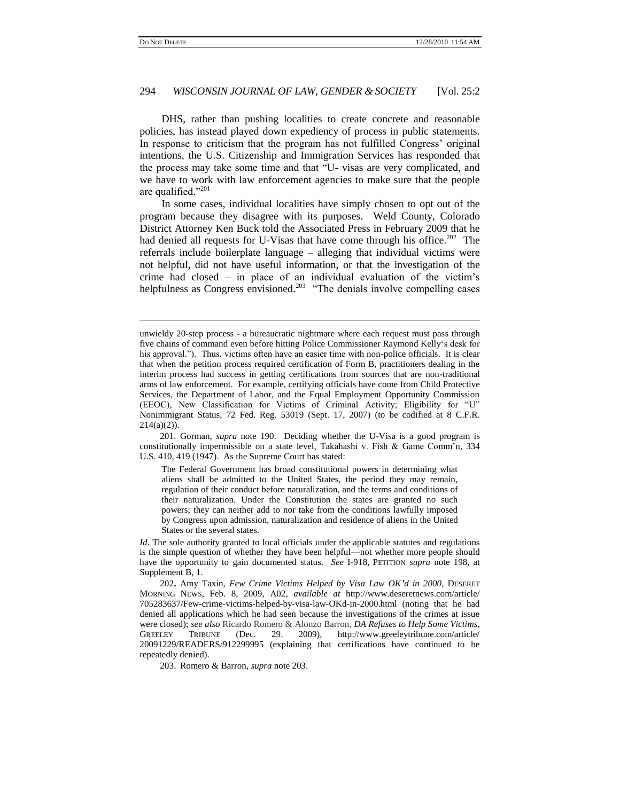l

## 294 *WISCONSIN JOURNAL OF LAW, GENDER & SOCIETY* [Vol. 25:2

DHS, rather than pushing localities to create concrete and reasonable policies, has instead played down expediency of process in public statements. In response to criticism that the program has not fulfilled Congress' original intentions, the U.S. Citizenship and Immigration Services has responded that the process may take some time and that "U- visas are very complicated, and we have to work with law enforcement agencies to make sure that the people are qualified." $201$ 

In some cases, individual localities have simply chosen to opt out of the program because they disagree with its purposes. Weld County, Colorado District Attorney Ken Buck told the Associated Press in February 2009 that he had denied all requests for U-Visas that have come through his office.<sup>202</sup> The referrals include boilerplate language – alleging that individual victims were not helpful, did not have useful information, or that the investigation of the crime had closed – in place of an individual evaluation of the victim's helpfulness as Congress envisioned.<sup>203</sup> "The denials involve compelling cases

201. Gorman, *supra* note 190. Deciding whether the U-Visa is a good program is constitutionally impermissible on a state level, Takahashi v. Fish & Game Comm'n, 334 U.S. 410, 419 (1947). As the Supreme Court has stated:

The Federal Government has broad constitutional powers in determining what aliens shall be admitted to the United States, the period they may remain, regulation of their conduct before naturalization, and the terms and conditions of their naturalization. Under the Constitution the states are granted no such powers; they can neither add to nor take from the conditions lawfully imposed by Congress upon admission, naturalization and residence of aliens in the United States or the several states.

*Id*. The sole authority granted to local officials under the applicable statutes and regulations is the simple question of whether they have been helpful—not whether more people should have the opportunity to gain documented status. *See* I-918, PETITION *supra* note 198, at Supplement B, 1.

202**.** Amy Taxin, *Few Crime Victims Helped by Visa Law OK'd in 2000*, DESERET MORNING NEWS, Feb. 8, 2009, A02, *available at* http://www.deseretnews.com/article/ 705283637/Few-crime-victims-helped-by-visa-law-OKd-in-2000.html (noting that he had denied all applications which he had seen because the investigations of the crimes at issue were closed); *see also* Ricardo Romero & Alonzo Barron, *DA Refuses to Help Some Victims*, GREELEY TRIBUNE (Dec. 29. 2009), http://www.greeleytribune.com/article/ 20091229/READERS/912299995 (explaining that certifications have continued to be repeatedly denied).

203. Romero & Barron, *supra* note 203.

unwieldy 20-step process - a bureaucratic nightmare where each request must pass through five chains of command even before hitting Police Commissioner Raymond Kelly's desk for his approval."). Thus, victims often have an easier time with non-police officials. It is clear that when the petition process required certification of Form B, practitioners dealing in the interim process had success in getting certifications from sources that are non-traditional arms of law enforcement. For example, certifying officials have come from Child Protective Services, the Department of Labor, and the Equal Employment Opportunity Commission (EEOC), New Classification for Victims of Criminal Activity; Eligibility for "U" Nonimmigrant Status, 72 Fed. Reg. 53019 (Sept. 17, 2007) (to be codified at 8 C.F.R.  $214(a)(2)$ ).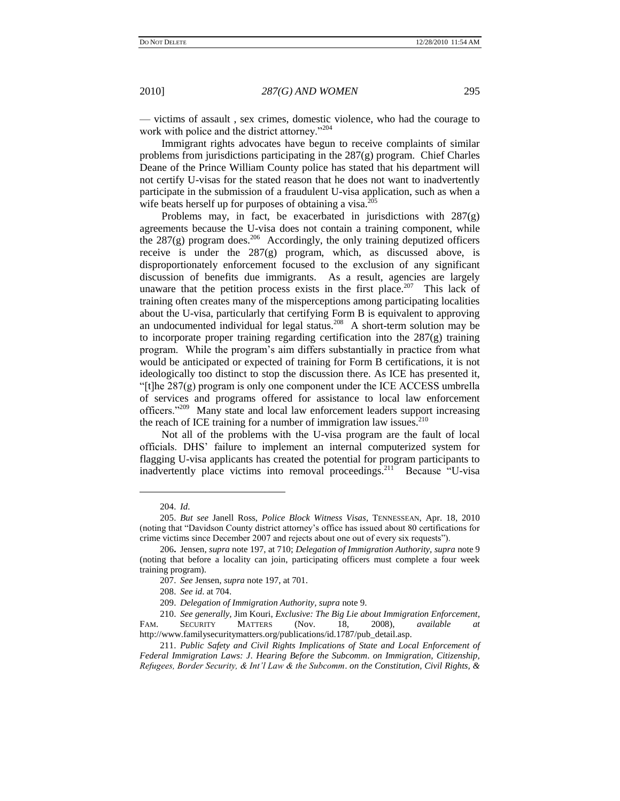— victims of assault , sex crimes, domestic violence, who had the courage to work with police and the district attorney."<sup>204</sup>

Immigrant rights advocates have begun to receive complaints of similar problems from jurisdictions participating in the 287(g) program. Chief Charles Deane of the Prince William County police has stated that his department will not certify U-visas for the stated reason that he does not want to inadvertently participate in the submission of a fraudulent U-visa application, such as when a wife beats herself up for purposes of obtaining a visa.<sup>2</sup>

Problems may, in fact, be exacerbated in jurisdictions with 287(g) agreements because the U-visa does not contain a training component, while the  $287(g)$  program does.<sup>206</sup> Accordingly, the only training deputized officers receive is under the 287(g) program, which, as discussed above, is disproportionately enforcement focused to the exclusion of any significant discussion of benefits due immigrants. As a result, agencies are largely unaware that the petition process exists in the first place.<sup>207</sup> This lack of training often creates many of the misperceptions among participating localities about the U-visa, particularly that certifying Form B is equivalent to approving an undocumented individual for legal status.<sup>208</sup> A short-term solution may be to incorporate proper training regarding certification into the 287(g) training program. While the program's aim differs substantially in practice from what would be anticipated or expected of training for Form B certifications, it is not ideologically too distinct to stop the discussion there. As ICE has presented it, "[t]he  $287(g)$  program is only one component under the ICE ACCESS umbrella" of services and programs offered for assistance to local law enforcement officers."<sup>209</sup> Many state and local law enforcement leaders support increasing the reach of ICE training for a number of immigration law issues. $210$ 

Not all of the problems with the U-visa program are the fault of local officials. DHS' failure to implement an internal computerized system for flagging U-visa applicants has created the potential for program participants to inadvertently place victims into removal proceedings.<sup>211</sup> Because "U-visa

 $\overline{\phantom{a}}$ 

<sup>204.</sup> *Id*.

<sup>205.</sup> *But see* Janell Ross, *Police Block Witness Visas*, TENNESSEAN, Apr. 18, 2010 (noting that ―Davidson County district attorney's office has issued about 80 certifications for crime victims since December 2007 and rejects about one out of every six requests").

<sup>206</sup>**.** Jensen, *supra* note 197, at 710; *Delegation of Immigration Authority, supra* note 9 (noting that before a locality can join, participating officers must complete a four week training program).

<sup>207.</sup> *See* Jensen, *supra* note 197, at 701.

<sup>208.</sup> *See id*. at 704.

<sup>209.</sup> *Delegation of Immigration Authority, supra* note 9.

<sup>210.</sup> *See generally,* Jim Kouri, *Exclusive: The Big Lie about Immigration Enforcement*, FAM. SECURITY MATTERS (Nov. 18, 2008), *available at* http://www.familysecuritymatters.org/publications/id.1787/pub\_detail.asp.

<sup>211.</sup> *Public Safety and Civil Rights Implications of State and Local Enforcement of Federal Immigration Laws: J*. *Hearing Before the Subcomm*. *on Immigration, Citizenship, Refugees, Border Security, & Int"l Law & the Subcomm*. *on the Constitution, Civil Rights, &*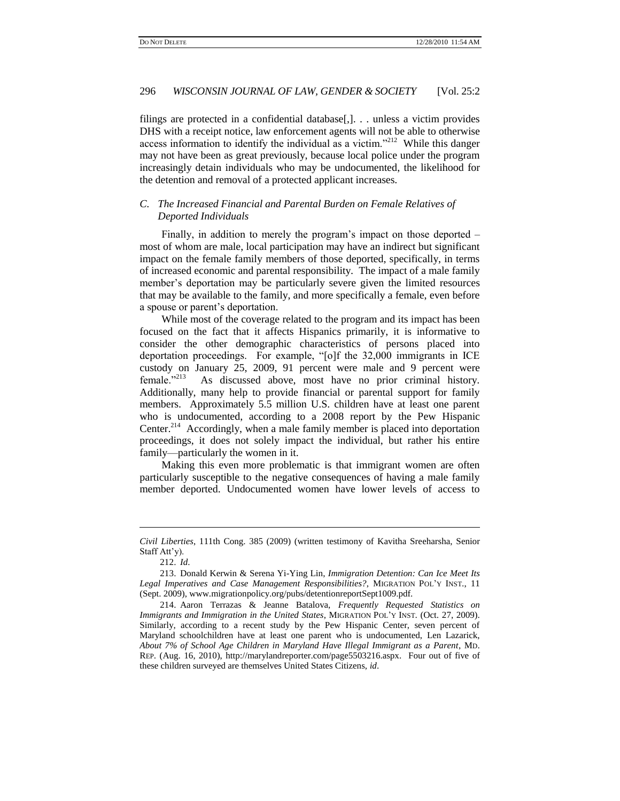filings are protected in a confidential database[,]. . . unless a victim provides DHS with a receipt notice, law enforcement agents will not be able to otherwise access information to identify the individual as a victim."<sup>212</sup> While this danger may not have been as great previously, because local police under the program increasingly detain individuals who may be undocumented, the likelihood for the detention and removal of a protected applicant increases.

## *C. The Increased Financial and Parental Burden on Female Relatives of Deported Individuals*

Finally, in addition to merely the program's impact on those deported – most of whom are male, local participation may have an indirect but significant impact on the female family members of those deported, specifically, in terms of increased economic and parental responsibility. The impact of a male family member's deportation may be particularly severe given the limited resources that may be available to the family, and more specifically a female, even before a spouse or parent's deportation.

While most of the coverage related to the program and its impact has been focused on the fact that it affects Hispanics primarily, it is informative to consider the other demographic characteristics of persons placed into deportation proceedings. For example, "[o]f the 32,000 immigrants in ICE custody on January 25, 2009, 91 percent were male and 9 percent were female."213 As discussed above, most have no prior criminal history. Additionally, many help to provide financial or parental support for family members. Approximately 5.5 million U.S. children have at least one parent who is undocumented, according to a 2008 report by the Pew Hispanic Center.<sup>214</sup> Accordingly, when a male family member is placed into deportation proceedings, it does not solely impact the individual, but rather his entire family—particularly the women in it.

Making this even more problematic is that immigrant women are often particularly susceptible to the negative consequences of having a male family member deported. Undocumented women have lower levels of access to

*Civil Liberties*, 111th Cong. 385 (2009) (written testimony of Kavitha Sreeharsha, Senior Staff Att'y).

<sup>212.</sup> *Id*.

<sup>213.</sup> Donald Kerwin & Serena Yi-Ying Lin, *Immigration Detention: Can Ice Meet Its Legal Imperatives and Case Management Responsibilities?*, MIGRATION POL'Y INST., 11 (Sept. 2009), www.migrationpolicy.org/pubs/detentionreportSept1009.pdf.

<sup>214.</sup> Aaron Terrazas & Jeanne Batalova, *Frequently Requested Statistics on Immigrants and Immigration in the United States*, MIGRATION POL'Y INST. (Oct. 27, 2009). Similarly, according to a recent study by the Pew Hispanic Center, seven percent of Maryland schoolchildren have at least one parent who is undocumented, Len Lazarick, *About 7% of School Age Children in Maryland Have Illegal Immigrant as a Parent*, MD. REP. (Aug. 16, 2010), [http://marylandreporter.com/page5503216.aspx.](http://marylandreporter.com/page5503216.aspx) Four out of five of these children surveyed are themselves United States Citizens, *id*.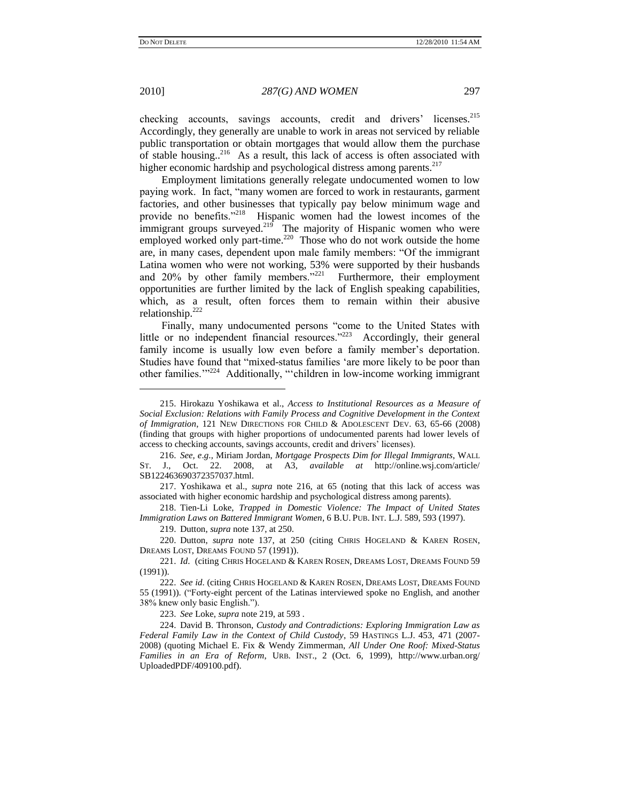$\overline{\phantom{a}}$ 

### 2010] *287(G) AND WOMEN* 297

checking accounts, savings accounts, credit and drivers' licenses.<sup>215</sup> Accordingly, they generally are unable to work in areas not serviced by reliable public transportation or obtain mortgages that would allow them the purchase of stable housing..<sup>216</sup> As a result, this lack of access is often associated with higher economic hardship and psychological distress among parents.<sup>217</sup>

Employment limitations generally relegate undocumented women to low paying work. In fact, "many women are forced to work in restaurants, garment factories, and other businesses that typically pay below minimum wage and provide no benefits."<sup>218</sup> Hispanic women had the lowest incomes of the immigrant groups surveyed.<sup>219</sup> The majority of Hispanic women who were employed worked only part-time. $^{220}$  Those who do not work outside the home are, in many cases, dependent upon male family members: "Of the immigrant Latina women who were not working, 53% were supported by their husbands and  $20\%$  by other family members.<sup>221</sup> Furthermore, their employment opportunities are further limited by the lack of English speaking capabilities, which, as a result, often forces them to remain within their abusive relationship.<sup>222</sup>

Finally, many undocumented persons "come to the United States with little or no independent financial resources. $223$  Accordingly, their general family income is usually low even before a family member's deportation. Studies have found that "mixed-status families 'are more likely to be poor than other families."<sup>224</sup> Additionally, "children in low-income working immigrant

218. Tien-Li Loke, *Trapped in Domestic Violence: The Impact of United States Immigration Laws on Battered Immigrant Women*, 6 B.U. PUB. INT. L.J. 589, 593 (1997).

219. Dutton, *supra* note 137, at 250.

220. Dutton, *supra* note 137, at 250 (citing CHRIS HOGELAND & KAREN ROSEN, DREAMS LOST, DREAMS FOUND 57 (1991)).

223. *See* Loke, *supra* note 219, at 593 .

224. David B. Thronson, *Custody and Contradictions: Exploring Immigration Law as Federal Family Law in the Context of Child Custody*, 59 HASTINGS L.J. [453, 471 \(2007-](https://www.lexis.com/research/buttonTFLink?_m=730914e1b06cab44cab4a544318a9bca&_xfercite=%3ccite%20cc%3d%22USA%22%3e%3c%21%5bCDATA%5b37%20Hastings%20Const.%20L.Q.%20199%5d%5d%3e%3c%2fcite%3e&_butType=3&_butStat=2&_butNum=206&_butInline=1&_butinfo=%3ccite%20cc%3d%22USA%22%3e%3c%21%5bCDATA%5b59%20Hastings%20L.J.%20453%2cat%20471%5d%5d%3e%3c%2fcite%3e&_fmtstr=FULL&docnum=1&_startdoc=1&wchp=dGLbVzz-zSkAA&_md5=26de0fd459f3a1327dfc9b39585c3a06) [2008\)](https://www.lexis.com/research/buttonTFLink?_m=730914e1b06cab44cab4a544318a9bca&_xfercite=%3ccite%20cc%3d%22USA%22%3e%3c%21%5bCDATA%5b37%20Hastings%20Const.%20L.Q.%20199%5d%5d%3e%3c%2fcite%3e&_butType=3&_butStat=2&_butNum=206&_butInline=1&_butinfo=%3ccite%20cc%3d%22USA%22%3e%3c%21%5bCDATA%5b59%20Hastings%20L.J.%20453%2cat%20471%5d%5d%3e%3c%2fcite%3e&_fmtstr=FULL&docnum=1&_startdoc=1&wchp=dGLbVzz-zSkAA&_md5=26de0fd459f3a1327dfc9b39585c3a06) (quoting Michael E. Fix & Wendy Zimmerman, *All Under One Roof: Mixed-Status Families in an Era of Reform*, URB. INST., 2 (Oct. 6, 1999), http://www.urban.org/ UploadedPDF/409100.pdf).

<sup>215.</sup> Hirokazu Yoshikawa et al., *Access to Institutional Resources as a Measure of Social Exclusion: Relations with Family Process and Cognitive Development in the Context of Immigration*, 121 NEW DIRECTIONS FOR CHILD & ADOLESCENT DEV. 63, 65-66 (2008) (finding that groups with higher proportions of undocumented parents had lower levels of access to checking accounts, savings accounts, credit and drivers' licenses).

<sup>216.</sup> *See, e*.*g*.*,* Miriam Jordan, *Mortgage Prospects Dim for Illegal Immigrants*, WALL ST. J., Oct. 22. 2008, at A3, *available at* http://online.wsj.com/article/ SB122463690372357037.html.

<sup>217.</sup> Yoshikawa et al., *supra* note 216, at 65 (noting that this lack of access was associated with higher economic hardship and psychological distress among parents).

<sup>221.</sup> *Id*. (citing CHRIS HOGELAND & KAREN ROSEN, DREAMS LOST, DREAMS FOUND 59 (1991)).

<sup>222.</sup> *See id*. (citing CHRIS HOGELAND & KAREN ROSEN, DREAMS LOST, DREAMS FOUND 55 (1991)). ("Forty-eight percent of the Latinas interviewed spoke no English, and another 38% knew only basic English.").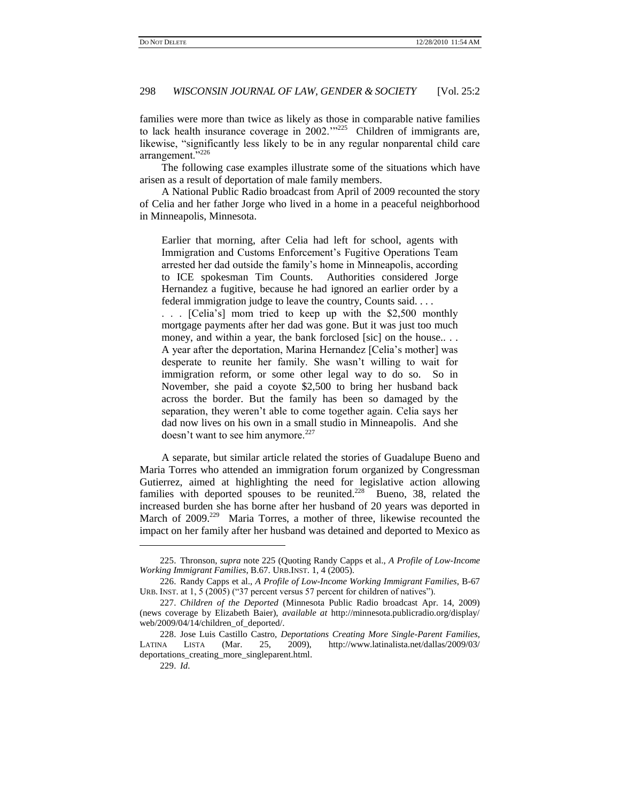families were more than twice as likely as those in comparable native families to lack health insurance coverage in  $2002$ .<sup>225</sup> Children of immigrants are, likewise, "significantly less likely to be in any regular nonparental child care arrangement."<sup>226</sup>

The following case examples illustrate some of the situations which have arisen as a result of deportation of male family members.

A National Public Radio broadcast from April of 2009 recounted the story of Celia and her father Jorge who lived in a home in a peaceful neighborhood in Minneapolis, Minnesota.

Earlier that morning, after Celia had left for school, agents with Immigration and Customs Enforcement's Fugitive Operations Team arrested her dad outside the family's home in Minneapolis, according to ICE spokesman Tim Counts. Authorities considered Jorge Hernandez a fugitive, because he had ignored an earlier order by a federal immigration judge to leave the country, Counts said. . . .

. . . [Celia's] mom tried to keep up with the \$2,500 monthly mortgage payments after her dad was gone. But it was just too much money, and within a year, the bank forclosed [sic] on the house... A year after the deportation, Marina Hernandez [Celia's mother] was desperate to reunite her family. She wasn't willing to wait for immigration reform, or some other legal way to do so. So in November, she paid a coyote \$2,500 to bring her husband back across the border. But the family has been so damaged by the separation, they weren't able to come together again. Celia says her dad now lives on his own in a small studio in Minneapolis. And she doesn't want to see him anymore.<sup>227</sup>

A separate, but similar article related the stories of Guadalupe Bueno and Maria Torres who attended an immigration forum organized by Congressman Gutierrez, aimed at highlighting the need for legislative action allowing families with deported spouses to be reunited. $228$  Bueno, 38, related the increased burden she has borne after her husband of 20 years was deported in March of 2009.<sup>229</sup> Maria Torres, a mother of three, likewise recounted the impact on her family after her husband was detained and deported to Mexico as

<sup>225.</sup> Thronson, *supra* note 225 (Quoting Randy Capps et al., *A Profile of Low-Income Working Immigrant Families*, B.67. URB.INST. 1, 4 (2005).

<sup>226.</sup> Randy Capps et al., *A Profile of Low-Income Working Immigrant Families*, B-67 URB. INST. at  $1, 5$  (2005) ("37 percent versus 57 percent for children of natives").

<sup>227.</sup> *Children of the Deported* (Minnesota Public Radio broadcast Apr. 14, 2009) (news coverage by Elizabeth Baier), *available at* http://minnesota.publicradio.org/display/ web/2009/04/14/children\_of\_deported/.

<sup>228.</sup> Jose Luis Castillo Castro, *Deportations Creating More Single-Parent Families*, LATINA LISTA (Mar. 25, 2009), [http://www.latinalista.net/dallas/2009/03/](http://www.latinalista.net/dallas/2009/03/deportations_creating_more_singleparent.html) [deportations\\_creating\\_more\\_singleparent.html.](http://www.latinalista.net/dallas/2009/03/deportations_creating_more_singleparent.html)

<sup>229.</sup> *Id*.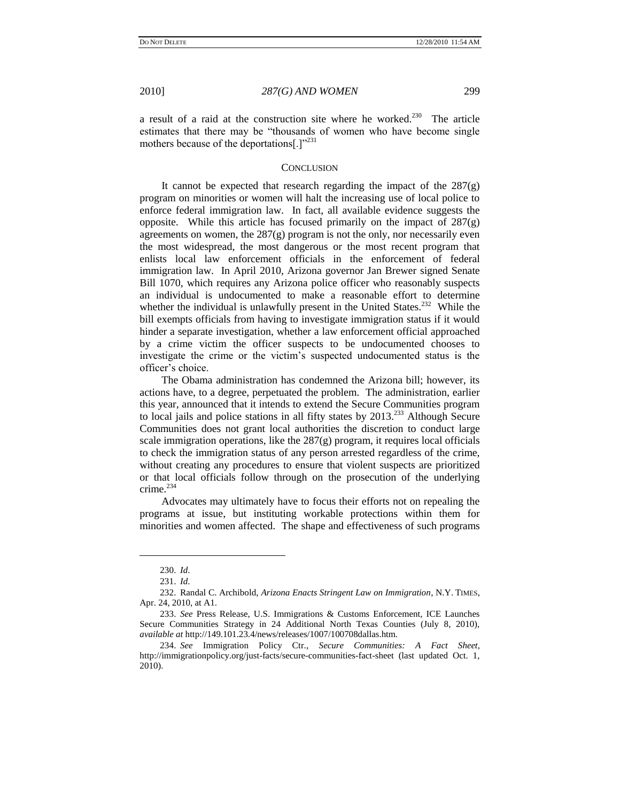a result of a raid at the construction site where he worked.<sup>230</sup> The article estimates that there may be "thousands of women who have become single mothers because of the deportations[.] $v^{231}$ 

#### **CONCLUSION**

It cannot be expected that research regarding the impact of the 287(g) program on minorities or women will halt the increasing use of local police to enforce federal immigration law. In fact, all available evidence suggests the opposite. While this article has focused primarily on the impact of 287(g) agreements on women, the  $287(g)$  program is not the only, nor necessarily even the most widespread, the most dangerous or the most recent program that enlists local law enforcement officials in the enforcement of federal immigration law. In April 2010, Arizona governor Jan Brewer signed Senate Bill 1070, which requires any Arizona police officer who reasonably suspects an individual is undocumented to make a reasonable effort to determine whether the individual is unlawfully present in the United States.<sup>232</sup> While the bill exempts officials from having to investigate immigration status if it would hinder a separate investigation, whether a law enforcement official approached by a crime victim the officer suspects to be undocumented chooses to investigate the crime or the victim's suspected undocumented status is the officer's choice.

The Obama administration has condemned the Arizona bill; however, its actions have, to a degree, perpetuated the problem. The administration, earlier this year, announced that it intends to extend the Secure Communities program to local jails and police stations in all fifty states by  $2013<sup>233</sup>$  Although Secure Communities does not grant local authorities the discretion to conduct large scale immigration operations, like the  $287(g)$  program, it requires local officials to check the immigration status of any person arrested regardless of the crime, without creating any procedures to ensure that violent suspects are prioritized or that local officials follow through on the prosecution of the underlying crime.<sup>234</sup>

Advocates may ultimately have to focus their efforts not on repealing the programs at issue, but instituting workable protections within them for minorities and women affected. The shape and effectiveness of such programs

 $\overline{\phantom{a}}$ 

<sup>230.</sup> *Id*.

<sup>231.</sup> *Id*.

<sup>232.</sup> Randal C. Archibold, *Arizona Enacts Stringent Law on Immigration*, N.Y. TIMES, Apr. 24, 2010, at A1.

<sup>233.</sup> *See* Press Release, U.S. Immigrations & Customs Enforcement, ICE Launches Secure Communities Strategy in 24 Additional North Texas Counties (July 8, 2010), *available at* http://149.101.23.4/news/releases/1007/100708dallas.htm.

<sup>234.</sup> *See* Immigration Policy Ctr., *Secure Communities: A Fact Sheet*, http://immigrationpolicy.org/just-facts/secure-communities-fact-sheet (last updated Oct. 1, 2010).